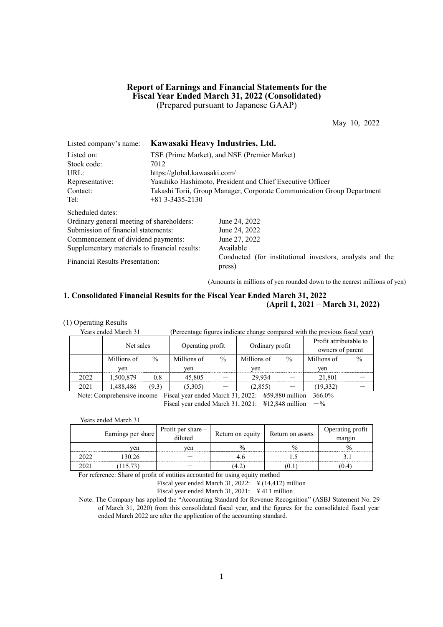### **Report of Earnings and Financial Statements for the Fiscal Year Ended March 31, 2022 (Consolidated)** (Prepared pursuant to Japanese GAAP)

May 10, 2022

| Listed company's name:                        | Kawasaki Heavy Industries, Ltd. |                                                                        |  |  |  |  |
|-----------------------------------------------|---------------------------------|------------------------------------------------------------------------|--|--|--|--|
| Listed on:                                    |                                 | TSE (Prime Market), and NSE (Premier Market)                           |  |  |  |  |
| Stock code:                                   | 7012                            |                                                                        |  |  |  |  |
| URL:                                          | https://global.kawasaki.com/    |                                                                        |  |  |  |  |
| Representative:                               |                                 | Yasuhiko Hashimoto, President and Chief Executive Officer              |  |  |  |  |
| Contact:                                      |                                 | Takashi Torii, Group Manager, Corporate Communication Group Department |  |  |  |  |
| Tel:                                          | $+81$ 3-3435-2130               |                                                                        |  |  |  |  |
| Scheduled dates:                              |                                 |                                                                        |  |  |  |  |
| Ordinary general meeting of shareholders:     |                                 | June 24, 2022                                                          |  |  |  |  |
| Submission of financial statements:           |                                 | June 24, 2022                                                          |  |  |  |  |
| Commencement of dividend payments:            |                                 | June 27, 2022                                                          |  |  |  |  |
| Supplementary materials to financial results: |                                 | Available                                                              |  |  |  |  |
| <b>Financial Results Presentation:</b>        |                                 | Conducted (for institutional investors, analysts and the<br>press)     |  |  |  |  |

(Amounts in millions of yen rounded down to the nearest millions of yen)

### **1. Consolidated Financial Results for the Fiscal Year Ended March 31, 2022 (April 1, 2021 – March 31, 2022)**

### (1) Operating Results

| Years ended March 31 |             |               | (Percentage figures indicate change compared with the previous fiscal year) |               |                 |               |                                            |               |  |
|----------------------|-------------|---------------|-----------------------------------------------------------------------------|---------------|-----------------|---------------|--------------------------------------------|---------------|--|
|                      | Net sales   |               | Operating profit                                                            |               | Ordinary profit |               | Profit attributable to<br>owners of parent |               |  |
|                      | Millions of | $\frac{0}{0}$ | Millions of                                                                 | $\frac{0}{0}$ | Millions of     | $\frac{0}{0}$ | Millions of                                | $\frac{0}{0}$ |  |
|                      | ven         |               | ven                                                                         |               | ven             |               | ven                                        |               |  |
| 2022                 | 1.500.879   | 0.8           | 45,805                                                                      |               | 29.934          |               | 21.801                                     |               |  |
| 2021                 | 1,488,486   | (9.3)         | (5,305)                                                                     |               | (2,855)         |               | (19, 332)                                  |               |  |
|                      |             |               |                                                                             |               | .               |               | .                                          |               |  |

Note: Comprehensive income Fiscal year ended March 31, 2022: ¥59,880 million 366.0% Fiscal year ended March 31, 2021:  $\frac{412,848 \text{ million}}{-\%}$ 

Years ended March 31

| Earnings per share | Profit per share $-$<br>diluted | Return on equity | Return on assets | Operating profit<br>margin |
|--------------------|---------------------------------|------------------|------------------|----------------------------|
| ven                |                                 |                  |                  |                            |
| 130.26             |                                 |                  |                  |                            |
|                    |                                 |                  | ιU.              |                            |

For reference: Share of profit of entities accounted for using equity method

Fiscal year ended March 31, 2022:  $\frac{4}{14,412}$  million

Fiscal year ended March 31, 2021: ¥ 411 million

Note: The Company has applied the "Accounting Standard for Revenue Recognition" (ASBJ Statement No. 29 of March 31, 2020) from this consolidated fiscal year, and the figures for the consolidated fiscal year ended March 2022 are after the application of the accounting standard.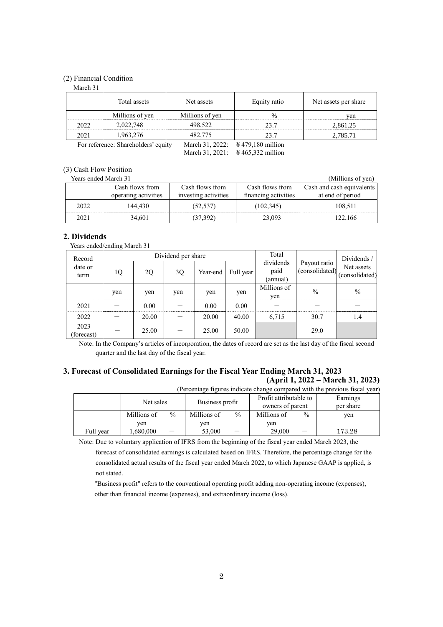### (2) Financial Condition

March 31 Total assets Net assets Requity ratio Net assets per share Millions of yen Millions of yen yen willions of yen yen 2022 2.022,748 498,522 23.7 2.861.25 2021 | 1,963,276 | 482,775 | 23.7 | 2,785.71 For reference: Shareholders' equity March 31, 2022: ¥ 479,180 million

March 31, 2021: \ \ \ \ \ 465,332 million

(3) Cash Flow Position

| Years ended March 31 | (Millions of yen)    |                      |                      |                           |
|----------------------|----------------------|----------------------|----------------------|---------------------------|
| Cash flows from      |                      | Cash flows from      | Cash flows from      | Cash and cash equivalents |
|                      | operating activities | investing activities | financing activities | at end of period          |
| 2022                 | 144.430              | (52, 537)            | (102, 345)           | 108.511                   |
| 2021                 | 34.601               | (37,392)             | 23,093               | 122.166                   |

### **2. Dividends**

Years ended/ending March 31

| Record            |     |       | Dividend per share |          | Total     |                               | Dividends/                     |                              |  |
|-------------------|-----|-------|--------------------|----------|-----------|-------------------------------|--------------------------------|------------------------------|--|
| date or<br>term   | 1Q  | 2Q    | 3Q                 | Year-end | Full year | dividends<br>paid<br>(annual) | Payout ratio<br>(consolidated) | Net assets<br>(consolidated) |  |
|                   | yen | yen   | yen                | yen      | yen       | Millions of<br>yen            | $\frac{0}{0}$                  | $\%$                         |  |
| 2021              |     | 0.00  |                    | 0.00     | 0.00      |                               |                                |                              |  |
| 2022              |     | 20.00 |                    | 20.00    | 40.00     | 6,715                         | 30.7                           | 1.4                          |  |
| 2023<br>forecast) |     | 25.00 |                    | 25.00    | 50.00     |                               | 29.0                           |                              |  |

Note: In the Company's articles of incorporation, the dates of record are set as the last day of the fiscal second quarter and the last day of the fiscal year.

# **3. Forecast of Consolidated Earnings for the Fiscal Year Ending March 31, 2023 (April 1, 2022 – March 31, 2023)**

|           | (Percentage figures indicate change compared with the previous fiscal year) |               |                 |               |                        |               |            |  |  |  |
|-----------|-----------------------------------------------------------------------------|---------------|-----------------|---------------|------------------------|---------------|------------|--|--|--|
|           | Net sales                                                                   |               | Business profit |               | Profit attributable to |               | Earnings   |  |  |  |
|           |                                                                             |               |                 |               | owners of parent       |               | per share  |  |  |  |
|           | Millions of                                                                 | $\frac{0}{0}$ | Millions of     | $\frac{0}{0}$ | Millions of            | $\frac{0}{0}$ | ven        |  |  |  |
|           | ven                                                                         |               | ven             |               | ven                    |               |            |  |  |  |
| Full year | 1,680,000                                                                   |               | 53,000          |               | 29,000                 |               | $173.28\,$ |  |  |  |

Note: Due to voluntary application of IFRS from the beginning of the fiscal year ended March 2023, the

forecast of consolidated earnings is calculated based on IFRS. Therefore, the percentage change for the consolidated actual results of the fiscal year ended March 2022, to which Japanese GAAP is applied, is not stated.

"Business profit" refers to the conventional operating profit adding non-operating income (expenses), other than financial income (expenses), and extraordinary income (loss).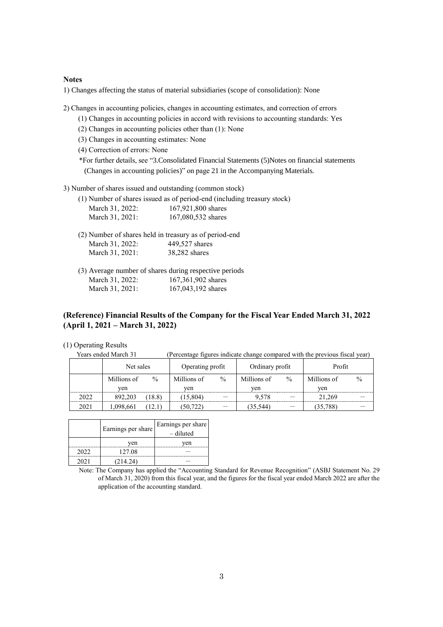#### **Notes**

1) Changes affecting the status of material subsidiaries (scope of consolidation): None

2) Changes in accounting policies, changes in accounting estimates, and correction of errors

- (1) Changes in accounting policies in accord with revisions to accounting standards: Yes
- (2) Changes in accounting policies other than (1): None
- (3) Changes in accounting estimates: None

(4) Correction of errors: None

\*For further details, see "3.Consolidated Financial Statements (5)Notes on financial statements (Changes in accounting policies)" on page 21 in the Accompanying Materials.

3) Number of shares issued and outstanding (common stock)

(1) Number of shares issued as of period-end (including treasury stock)

| March 31, 2022: | 167,921,800 shares |
|-----------------|--------------------|
| March 31, 2021: | 167,080,532 shares |

- (2) Number of shares held in treasury as of period-end March 31, 2022: 449,527 shares March 31, 2021: 38,282 shares
- (3) Average number of shares during respective periods March 31, 2022: 167,361,902 shares March 31, 2021: 167,043,192 shares

# **(Reference) Financial Results of the Company for the Fiscal Year Ended March 31, 2022 (April 1, 2021 – March 31, 2022)**

(1) Operating Results

Years ended March 31 (Percentage figures indicate change compared with the previous fiscal year)

|      | Net sales   |               | Operating profit |               | Ordinary profit |               | Profit      |               |
|------|-------------|---------------|------------------|---------------|-----------------|---------------|-------------|---------------|
|      | Millions of | $\frac{0}{0}$ | Millions of      | $\frac{0}{0}$ |                 | $\frac{0}{0}$ | Millions of | $\frac{0}{0}$ |
|      | ven         |               | ven              |               | ven             |               | ven         |               |
| 2022 | 892.203     | (18.8)        | (15, 804)        |               | 9.578           |               | 21.269      |               |
| 2021 | 1,098,661   |               | (50, 722)        |               | (35.544)        |               | (35, 788)   |               |

|      | Earnings per share | Earnings per share<br>– diluted |
|------|--------------------|---------------------------------|
|      | ven                | ven                             |
| 2022 | 127.08             |                                 |
| 2021 | (214.24)           |                                 |

Note: The Company has applied the "Accounting Standard for Revenue Recognition" (ASBJ Statement No. 29 of March 31, 2020) from this fiscal year, and the figures for the fiscal year ended March 2022 are after the application of the accounting standard.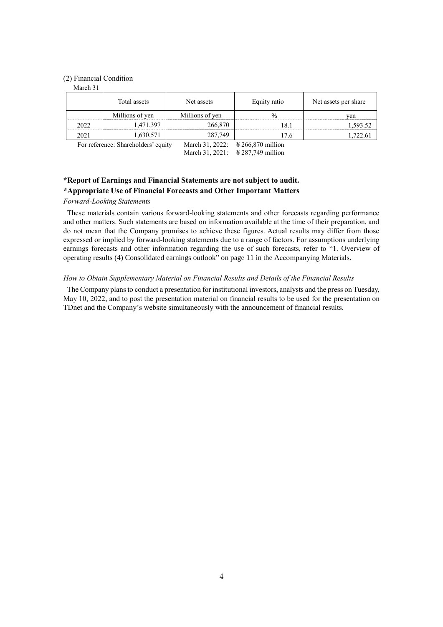### (2) Financial Condition

March 31

|      | Total assets                        | Net assets      | Equity ratio                      | Net assets per share |  |
|------|-------------------------------------|-----------------|-----------------------------------|----------------------|--|
|      | Millions of yen                     | Millions of yen | $\frac{0}{0}$                     | ven                  |  |
| 2022 | 1,471,397                           | 266,870         |                                   | 1.593.52             |  |
| 2021 | 1,630,571                           | 287,749         | ، 7.6                             | .722.61              |  |
|      | For reference: Shareholders' equity |                 | March 31, 2022: ¥ 266,870 million |                      |  |

March 31, 2021: \ \ \ \ 287,749 million

**\*Report of Earnings and Financial Statements are not subject to audit. \*Appropriate Use of Financial Forecasts and Other Important Matters**

#### *Forward-Looking Statements*

These materials contain various forward-looking statements and other forecasts regarding performance and other matters. Such statements are based on information available at the time of their preparation, and do not mean that the Company promises to achieve these figures. Actual results may differ from those expressed or implied by forward-looking statements due to a range of factors. For assumptions underlying earnings forecasts and other information regarding the use of such forecasts, refer to "1. Overview of operating results (4) Consolidated earnings outlook" on page 11 in the Accompanying Materials.

### *How to Obtain Supplementary Material on Financial Results and Details of the Financial Results*

The Company plans to conduct a presentation for institutional investors, analysts and the press on Tuesday, May 10, 2022, and to post the presentation material on financial results to be used for the presentation on TDnet and the Company's website simultaneously with the announcement of financial results.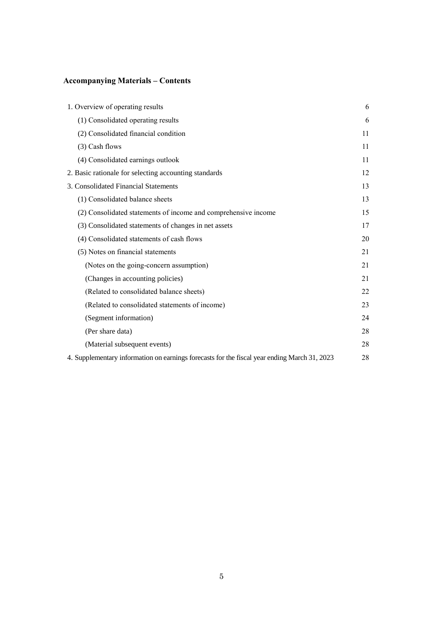# **Accompanying Materials – Contents**

| 1. Overview of operating results                                                             | 6  |
|----------------------------------------------------------------------------------------------|----|
| (1) Consolidated operating results                                                           | 6  |
| (2) Consolidated financial condition                                                         | 11 |
| (3) Cash flows                                                                               | 11 |
| (4) Consolidated earnings outlook                                                            | 11 |
| 2. Basic rationale for selecting accounting standards                                        | 12 |
| 3. Consolidated Financial Statements                                                         | 13 |
| (1) Consolidated balance sheets                                                              | 13 |
| (2) Consolidated statements of income and comprehensive income                               | 15 |
| (3) Consolidated statements of changes in net assets                                         | 17 |
| (4) Consolidated statements of cash flows                                                    | 20 |
| (5) Notes on financial statements                                                            | 21 |
| (Notes on the going-concern assumption)                                                      | 21 |
| (Changes in accounting policies)                                                             | 21 |
| (Related to consolidated balance sheets)                                                     | 22 |
| (Related to consolidated statements of income)                                               | 23 |
| (Segment information)                                                                        | 24 |
| (Per share data)                                                                             | 28 |
| (Material subsequent events)                                                                 | 28 |
| 4. Supplementary information on earnings forecasts for the fiscal year ending March 31, 2023 | 28 |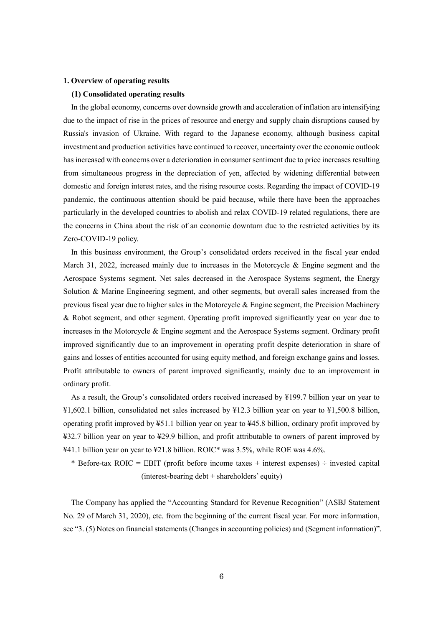#### **1. Overview of operating results**

### **(1) Consolidated operating results**

In the global economy, concerns over downside growth and acceleration of inflation are intensifying due to the impact of rise in the prices of resource and energy and supply chain disruptions caused by Russia's invasion of Ukraine. With regard to the Japanese economy, although business capital investment and production activities have continued to recover, uncertainty over the economic outlook has increased with concerns over a deterioration in consumer sentiment due to price increases resulting from simultaneous progress in the depreciation of yen, affected by widening differential between domestic and foreign interest rates, and the rising resource costs. Regarding the impact of COVID-19 pandemic, the continuous attention should be paid because, while there have been the approaches particularly in the developed countries to abolish and relax COVID-19 related regulations, there are the concerns in China about the risk of an economic downturn due to the restricted activities by its Zero-COVID-19 policy.

In this business environment, the Group's consolidated orders received in the fiscal year ended March 31, 2022, increased mainly due to increases in the Motorcycle  $\&$  Engine segment and the Aerospace Systems segment. Net sales decreased in the Aerospace Systems segment, the Energy Solution & Marine Engineering segment, and other segments, but overall sales increased from the previous fiscal year due to higher sales in the Motorcycle & Engine segment, the Precision Machinery & Robot segment, and other segment. Operating profit improved significantly year on year due to increases in the Motorcycle & Engine segment and the Aerospace Systems segment. Ordinary profit improved significantly due to an improvement in operating profit despite deterioration in share of gains and losses of entities accounted for using equity method, and foreign exchange gains and losses. Profit attributable to owners of parent improved significantly, mainly due to an improvement in ordinary profit.

As a result, the Group's consolidated orders received increased by ¥199.7 billion year on year to ¥1,602.1 billion, consolidated net sales increased by ¥12.3 billion year on year to ¥1,500.8 billion, operating profit improved by ¥51.1 billion year on year to ¥45.8 billion, ordinary profit improved by ¥32.7 billion year on year to ¥29.9 billion, and profit attributable to owners of parent improved by ¥41.1 billion year on year to ¥21.8 billion. ROIC\* was 3.5%, while ROE was 4.6%.

\* Before-tax ROIC = EBIT (profit before income taxes + interest expenses)  $\div$  invested capital (interest-bearing debt + shareholders' equity)

The Company has applied the "Accounting Standard for Revenue Recognition" (ASBJ Statement No. 29 of March 31, 2020), etc. from the beginning of the current fiscal year. For more information, see "3. (5) Notes on financial statements (Changes in accounting policies) and (Segment information)".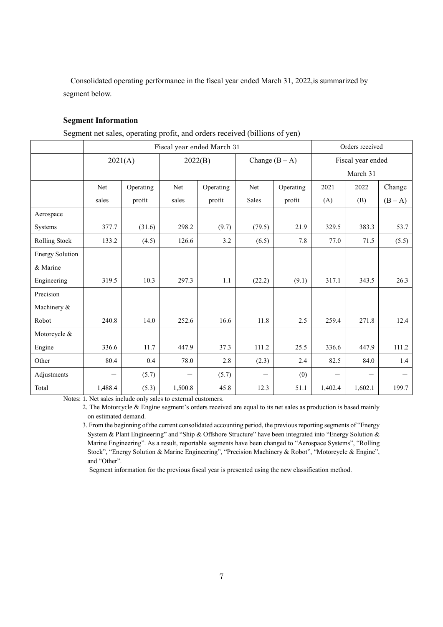Consolidated operating performance in the fiscal year ended March 31, 2022,is summarized by segment below.

### **Segment Information**

Segment net sales, operating profit, and orders received (billions of yen)

|                        |         |           |         | Fiscal year ended March 31 |                          |           | Orders received   |          |         |
|------------------------|---------|-----------|---------|----------------------------|--------------------------|-----------|-------------------|----------|---------|
|                        | 2021(A) |           | 2022(B) |                            | Change $(B - A)$         |           | Fiscal year ended |          |         |
|                        |         |           |         |                            |                          |           |                   | March 31 |         |
|                        | Net     | Operating | Net     | Operating                  | Net                      | Operating | 2021              | 2022     | Change  |
|                        | sales   | profit    | sales   | profit                     | Sales                    | profit    | (A)               | (B)      | $(B-A)$ |
| Aerospace              |         |           |         |                            |                          |           |                   |          |         |
| Systems                | 377.7   | (31.6)    | 298.2   | (9.7)                      | (79.5)                   | 21.9      | 329.5             | 383.3    | 53.7    |
| Rolling Stock          | 133.2   | (4.5)     | 126.6   | 3.2                        | (6.5)                    | 7.8       | 77.0              | 71.5     | (5.5)   |
| <b>Energy Solution</b> |         |           |         |                            |                          |           |                   |          |         |
| & Marine               |         |           |         |                            |                          |           |                   |          |         |
| Engineering            | 319.5   | 10.3      | 297.3   | 1.1                        | (22.2)                   | (9.1)     | 317.1             | 343.5    | 26.3    |
| Precision              |         |           |         |                            |                          |           |                   |          |         |
| Machinery &            |         |           |         |                            |                          |           |                   |          |         |
| Robot                  | 240.8   | 14.0      | 252.6   | 16.6                       | 11.8                     | 2.5       | 259.4             | 271.8    | 12.4    |
| Motorcycle &           |         |           |         |                            |                          |           |                   |          |         |
| Engine                 | 336.6   | 11.7      | 447.9   | 37.3                       | 111.2                    | 25.5      | 336.6             | 447.9    | 111.2   |
| Other                  | 80.4    | 0.4       | 78.0    | 2.8                        | (2.3)                    | 2.4       | 82.5              | 84.0     | 1.4     |
| Adjustments            |         | (5.7)     |         | (5.7)                      | $\overline{\phantom{0}}$ | (0)       |                   |          |         |
| Total                  | 1,488.4 | (5.3)     | 1,500.8 | 45.8                       | 12.3                     | 51.1      | 1,402.4           | 1,602.1  | 199.7   |

Notes: 1. Net sales include only sales to external customers.

2. The Motorcycle & Engine segment's orders received are equal to its net sales as production is based mainly on estimated demand.

3. From the beginning of the current consolidated accounting period, the previous reporting segments of "Energy System & Plant Engineering" and "Ship & Offshore Structure" have been integrated into "Energy Solution & Marine Engineering". As a result, reportable segments have been changed to "Aerospace Systems", "Rolling Stock", "Energy Solution & Marine Engineering", "Precision Machinery & Robot", "Motorcycle & Engine", and "Other".

Segment information for the previous fiscal year is presented using the new classification method.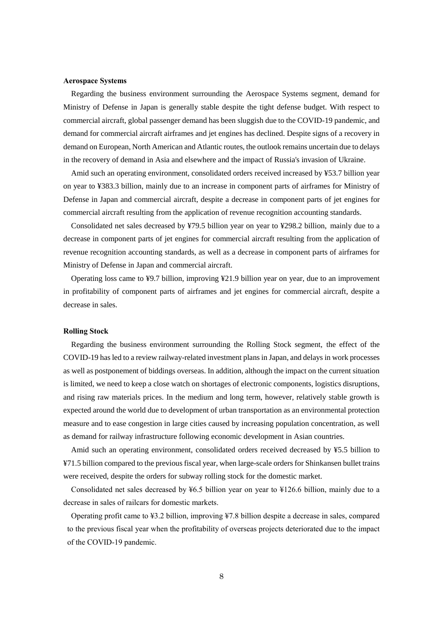#### **Aerospace Systems**

Regarding the business environment surrounding the Aerospace Systems segment, demand for Ministry of Defense in Japan is generally stable despite the tight defense budget. With respect to commercial aircraft, global passenger demand has been sluggish due to the COVID-19 pandemic, and demand for commercial aircraft airframes and jet engines has declined. Despite signs of a recovery in demand on European, North American and Atlantic routes, the outlook remains uncertain due to delays in the recovery of demand in Asia and elsewhere and the impact of Russia's invasion of Ukraine.

Amid such an operating environment, consolidated orders received increased by ¥53.7 billion year on year to ¥383.3 billion, mainly due to an increase in component parts of airframes for Ministry of Defense in Japan and commercial aircraft, despite a decrease in component parts of jet engines for commercial aircraft resulting from the application of revenue recognition accounting standards.

Consolidated net sales decreased by ¥79.5 billion year on year to ¥298.2 billion, mainly due to a decrease in component parts of jet engines for commercial aircraft resulting from the application of revenue recognition accounting standards, as well as a decrease in component parts of airframes for Ministry of Defense in Japan and commercial aircraft.

Operating loss came to ¥9.7 billion, improving ¥21.9 billion year on year, due to an improvement in profitability of component parts of airframes and jet engines for commercial aircraft, despite a decrease in sales.

### **Rolling Stock**

Regarding the business environment surrounding the Rolling Stock segment, the effect of the COVID-19 has led to a review railway-related investment plans in Japan, and delays in work processes as well as postponement of biddings overseas. In addition, although the impact on the current situation is limited, we need to keep a close watch on shortages of electronic components, logistics disruptions, and rising raw materials prices. In the medium and long term, however, relatively stable growth is expected around the world due to development of urban transportation as an environmental protection measure and to ease congestion in large cities caused by increasing population concentration, as well as demand for railway infrastructure following economic development in Asian countries.

Amid such an operating environment, consolidated orders received decreased by ¥5.5 billion to ¥71.5 billion compared to the previous fiscal year, when large-scale orders for Shinkansen bullet trains were received, despite the orders for subway rolling stock for the domestic market.

Consolidated net sales decreased by ¥6.5 billion year on year to ¥126.6 billion, mainly due to a decrease in sales of railcars for domestic markets.

Operating profit came to ¥3.2 billion, improving ¥7.8 billion despite a decrease in sales, compared to the previous fiscal year when the profitability of overseas projects deteriorated due to the impact of the COVID-19 pandemic.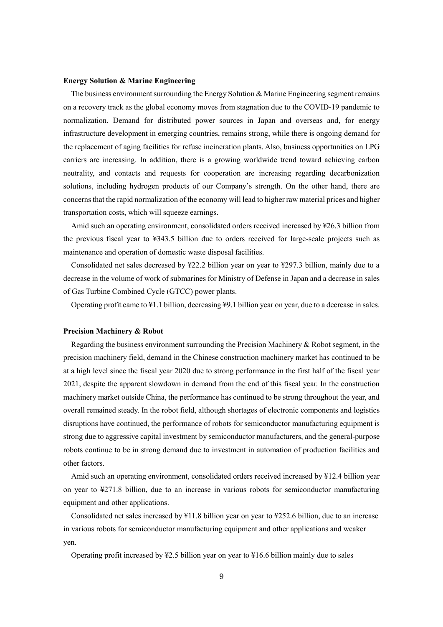#### **Energy Solution & Marine Engineering**

The business environment surrounding the Energy Solution & Marine Engineering segment remains on a recovery track as the global economy moves from stagnation due to the COVID-19 pandemic to normalization. Demand for distributed power sources in Japan and overseas and, for energy infrastructure development in emerging countries, remains strong, while there is ongoing demand for the replacement of aging facilities for refuse incineration plants. Also, business opportunities on LPG carriers are increasing. In addition, there is a growing worldwide trend toward achieving carbon neutrality, and contacts and requests for cooperation are increasing regarding decarbonization solutions, including hydrogen products of our Company's strength. On the other hand, there are concerns that the rapid normalization of the economy will lead to higher raw material prices and higher transportation costs, which will squeeze earnings.

Amid such an operating environment, consolidated orders received increased by ¥26.3 billion from the previous fiscal year to ¥343.5 billion due to orders received for large-scale projects such as maintenance and operation of domestic waste disposal facilities.

Consolidated net sales decreased by ¥22.2 billion year on year to ¥297.3 billion, mainly due to a decrease in the volume of work of submarines for Ministry of Defense in Japan and a decrease in sales of Gas Turbine Combined Cycle (GTCC) power plants.

Operating profit came to ¥1.1 billion, decreasing ¥9.1 billion year on year, due to a decrease in sales.

### **Precision Machinery & Robot**

Regarding the business environment surrounding the Precision Machinery & Robot segment, in the precision machinery field, demand in the Chinese construction machinery market has continued to be at a high level since the fiscal year 2020 due to strong performance in the first half of the fiscal year 2021, despite the apparent slowdown in demand from the end of this fiscal year. In the construction machinery market outside China, the performance has continued to be strong throughout the year, and overall remained steady. In the robot field, although shortages of electronic components and logistics disruptions have continued, the performance of robots for semiconductor manufacturing equipment is strong due to aggressive capital investment by semiconductor manufacturers, and the general-purpose robots continue to be in strong demand due to investment in automation of production facilities and other factors.

Amid such an operating environment, consolidated orders received increased by ¥12.4 billion year on year to ¥271.8 billion, due to an increase in various robots for semiconductor manufacturing equipment and other applications.

Consolidated net sales increased by ¥11.8 billion year on year to ¥252.6 billion, due to an increase in various robots for semiconductor manufacturing equipment and other applications and weaker yen.

Operating profit increased by ¥2.5 billion year on year to ¥16.6 billion mainly due to sales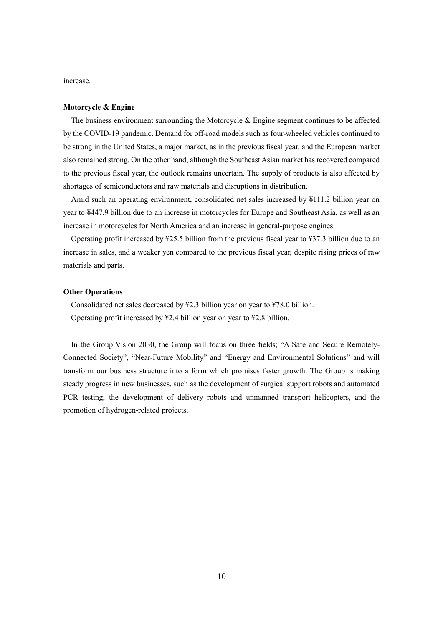increase.

### **Motorcycle & Engine**

The business environment surrounding the Motorcycle & Engine segment continues to be affected by the COVID-19 pandemic. Demand for off-road models such as four-wheeled vehicles continued to be strong in the United States, a major market, as in the previous fiscal year, and the European market also remained strong. On the other hand, although the Southeast Asian market has recovered compared to the previous fiscal year, the outlook remains uncertain. The supply of products is also affected by shortages of semiconductors and raw materials and disruptions in distribution.

Amid such an operating environment, consolidated net sales increased by ¥111.2 billion year on year to ¥447.9 billion due to an increase in motorcycles for Europe and Southeast Asia, as well as an increase in motorcycles for North America and an increase in general-purpose engines.

Operating profit increased by ¥25.5 billion from the previous fiscal year to ¥37.3 billion due to an increase in sales, and a weaker yen compared to the previous fiscal year, despite rising prices of raw materials and parts.

### **Other Operations**

Consolidated net sales decreased by ¥2.3 billion year on year to ¥78.0 billion. Operating profit increased by ¥2.4 billion year on year to ¥2.8 billion.

In the Group Vision 2030, the Group will focus on three fields; "A Safe and Secure Remotely-Connected Society", "Near-Future Mobility" and "Energy and Environmental Solutions" and will transform our business structure into a form which promises faster growth. The Group is making steady progress in new businesses, such as the development of surgical support robots and automated PCR testing, the development of delivery robots and unmanned transport helicopters, and the promotion of hydrogen-related projects.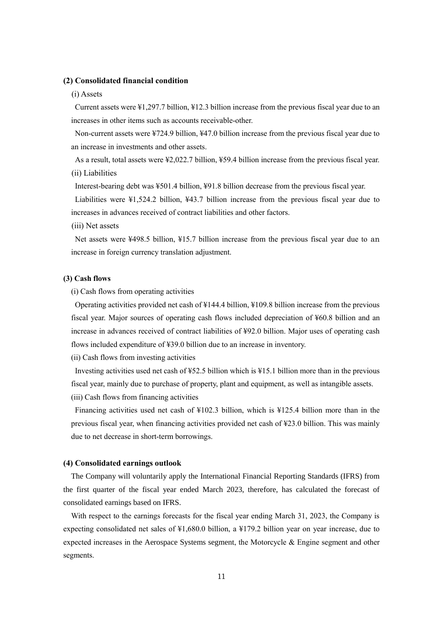### **(2) Consolidated financial condition**

#### (i) Assets

Current assets were ¥1,297.7 billion, ¥12.3 billion increase from the previous fiscal year due to an increases in other items such as accounts receivable-other.

Non-current assets were ¥724.9 billion, ¥47.0 billion increase from the previous fiscal year due to an increase in investments and other assets.

As a result, total assets were ¥2,022.7 billion, ¥59.4 billion increase from the previous fiscal year. (ii) Liabilities

Interest-bearing debt was ¥501.4 billion, ¥91.8 billion decrease from the previous fiscal year.

Liabilities were ¥1,524.2 billion, ¥43.7 billion increase from the previous fiscal year due to increases in advances received of contract liabilities and other factors.

(iii) Net assets

Net assets were ¥498.5 billion, ¥15.7 billion increase from the previous fiscal year due to an increase in foreign currency translation adjustment.

### **(3) Cash flows**

(i) Cash flows from operating activities

Operating activities provided net cash of ¥144.4 billion, ¥109.8 billion increase from the previous fiscal year. Major sources of operating cash flows included depreciation of ¥60.8 billion and an increase in advances received of contract liabilities of ¥92.0 billion. Major uses of operating cash flows included expenditure of ¥39.0 billion due to an increase in inventory.

(ii) Cash flows from investing activities

Investing activities used net cash of ¥52.5 billion which is ¥15.1 billion more than in the previous fiscal year, mainly due to purchase of property, plant and equipment, as well as intangible assets.

(iii) Cash flows from financing activities

Financing activities used net cash of ¥102.3 billion, which is ¥125.4 billion more than in the previous fiscal year, when financing activities provided net cash of ¥23.0 billion. This was mainly due to net decrease in short-term borrowings.

### **(4) Consolidated earnings outlook**

The Company will voluntarily apply the International Financial Reporting Standards (IFRS) from the first quarter of the fiscal year ended March 2023, therefore, has calculated the forecast of consolidated earnings based on IFRS.

With respect to the earnings forecasts for the fiscal year ending March 31, 2023, the Company is expecting consolidated net sales of  $\frac{1}{4}1,680.0$  billion, a  $\frac{1}{2}79.2$  billion year on year increase, due to expected increases in the Aerospace Systems segment, the Motorcycle & Engine segment and other segments.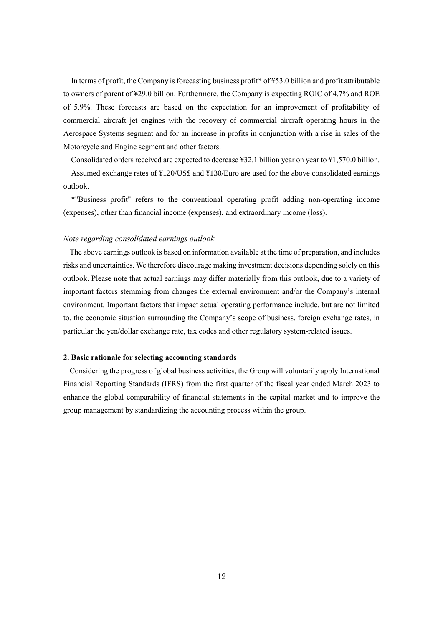In terms of profit, the Company is forecasting business profit\* of ¥53.0 billion and profit attributable to owners of parent of ¥29.0 billion. Furthermore, the Company is expecting ROIC of 4.7% and ROE of 5.9%. These forecasts are based on the expectation for an improvement of profitability of commercial aircraft jet engines with the recovery of commercial aircraft operating hours in the Aerospace Systems segment and for an increase in profits in conjunction with a rise in sales of the Motorcycle and Engine segment and other factors.

Consolidated orders received are expected to decrease ¥32.1 billion year on year to ¥1,570.0 billion.

Assumed exchange rates of ¥120/US\$ and ¥130/Euro are used for the above consolidated earnings outlook.

\*"Business profit" refers to the conventional operating profit adding non-operating income (expenses), other than financial income (expenses), and extraordinary income (loss).

### *Note regarding consolidated earnings outlook*

The above earnings outlook is based on information available at the time of preparation, and includes risks and uncertainties. We therefore discourage making investment decisions depending solely on this outlook. Please note that actual earnings may differ materially from this outlook, due to a variety of important factors stemming from changes the external environment and/or the Company's internal environment. Important factors that impact actual operating performance include, but are not limited to, the economic situation surrounding the Company's scope of business, foreign exchange rates, in particular the yen/dollar exchange rate, tax codes and other regulatory system-related issues.

### **2. Basic rationale for selecting accounting standards**

Considering the progress of global business activities, the Group will voluntarily apply International Financial Reporting Standards (IFRS) from the first quarter of the fiscal year ended March 2023 to enhance the global comparability of financial statements in the capital market and to improve the group management by standardizing the accounting process within the group.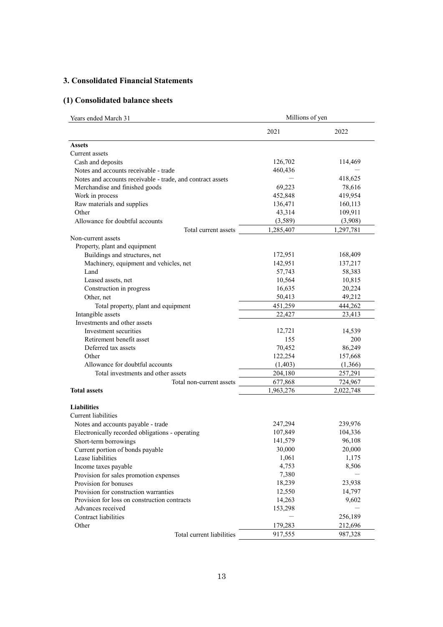# **3. Consolidated Financial Statements**

# **(1) Consolidated balance sheets**

| Years ended March 31                                       | Millions of yen  |           |  |  |  |
|------------------------------------------------------------|------------------|-----------|--|--|--|
|                                                            | 2021             | 2022      |  |  |  |
| <b>Assets</b>                                              |                  |           |  |  |  |
| Current assets                                             |                  |           |  |  |  |
| Cash and deposits                                          | 126,702          | 114,469   |  |  |  |
| Notes and accounts receivable - trade                      | 460,436          |           |  |  |  |
| Notes and accounts receivable - trade, and contract assets |                  | 418,625   |  |  |  |
| Merchandise and finished goods                             | 69,223           | 78,616    |  |  |  |
| Work in process                                            | 452,848          | 419,954   |  |  |  |
| Raw materials and supplies                                 | 136,471          | 160,113   |  |  |  |
| Other                                                      | 43,314           | 109,911   |  |  |  |
| Allowance for doubtful accounts                            | (3,589)          | (3,908)   |  |  |  |
| Total current assets                                       | 1,285,407        | 1,297,781 |  |  |  |
| Non-current assets                                         |                  |           |  |  |  |
| Property, plant and equipment                              |                  |           |  |  |  |
| Buildings and structures, net                              | 172,951          | 168,409   |  |  |  |
| Machinery, equipment and vehicles, net                     | 142,951          | 137,217   |  |  |  |
| Land                                                       | 57,743           | 58,383    |  |  |  |
| Leased assets, net                                         | 10,564           | 10,815    |  |  |  |
| Construction in progress                                   | 16,635           | 20,224    |  |  |  |
| Other, net                                                 | 50,413<br>49,212 |           |  |  |  |
| Total property, plant and equipment                        | 451,259          | 444,262   |  |  |  |
| Intangible assets                                          | 22,427           | 23,413    |  |  |  |
| Investments and other assets                               |                  |           |  |  |  |
| Investment securities                                      | 12,721           | 14,539    |  |  |  |
| Retirement benefit asset                                   | 155              | 200       |  |  |  |
| Deferred tax assets                                        | 70,452           | 86,249    |  |  |  |
| Other                                                      | 122,254          | 157,668   |  |  |  |
| Allowance for doubtful accounts                            | (1,403)          | (1,366)   |  |  |  |
| Total investments and other assets                         | 204,180          | 257,291   |  |  |  |
| Total non-current assets                                   | 677,868          | 724,967   |  |  |  |
| <b>Total assets</b>                                        | 1,963,276        | 2,022,748 |  |  |  |
| <b>Liabilities</b>                                         |                  |           |  |  |  |
| Current liabilities                                        |                  |           |  |  |  |
| Notes and accounts payable - trade                         | 247,294          | 239,976   |  |  |  |
| Electronically recorded obligations - operating            | 107,849          | 104,336   |  |  |  |
| Short-term borrowings                                      | 141,579          | 96,108    |  |  |  |
| Current portion of bonds payable                           | 30,000           | 20,000    |  |  |  |
| Lease liabilities                                          | 1,061            | 1,175     |  |  |  |
| Income taxes payable                                       | 4,753            | 8,506     |  |  |  |
| Provision for sales promotion expenses                     | 7,380            |           |  |  |  |
| Provision for bonuses                                      | 18,239           | 23,938    |  |  |  |
| Provision for construction warranties                      | 12,550           | 14,797    |  |  |  |
| Provision for loss on construction contracts               | 14,263           | 9,602     |  |  |  |
| Advances received                                          | 153,298          |           |  |  |  |
| Contract liabilities                                       |                  | 256,189   |  |  |  |
| Other                                                      | 179,283          | 212,696   |  |  |  |
| Total current liabilities                                  | 917,555          | 987,328   |  |  |  |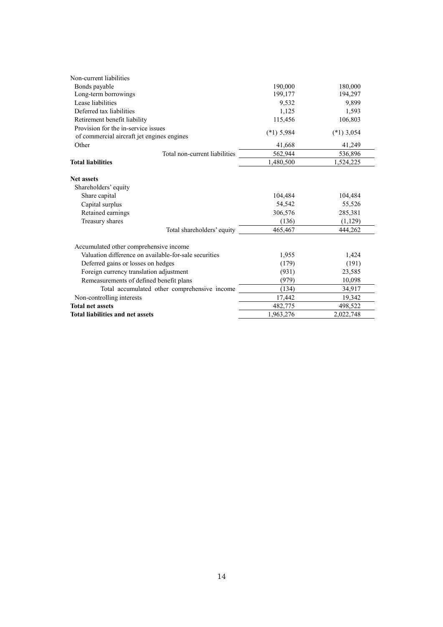| Non-current liabilities                               |              |              |
|-------------------------------------------------------|--------------|--------------|
| Bonds payable                                         | 190,000      | 180,000      |
| Long-term borrowings                                  | 199,177      | 194,297      |
| Lease liabilities                                     | 9,532        | 9,899        |
| Deferred tax liabilities                              | 1,125        | 1,593        |
| Retirement benefit liability                          | 115,456      | 106,803      |
| Provision for the in-service issues                   | $(*1)$ 5,984 | $(*1)$ 3,054 |
| of commercial aircraft jet engines engines<br>Other   | 41,668       | 41,249       |
|                                                       |              |              |
| Total non-current liabilities                         | 562,944      | 536,896      |
| <b>Total liabilities</b>                              | 1,480,500    | 1,524,225    |
| <b>Net assets</b>                                     |              |              |
| Shareholders' equity                                  |              |              |
| Share capital                                         | 104,484      | 104,484      |
| Capital surplus                                       | 54,542       | 55,526       |
| Retained earnings                                     | 306,576      | 285,381      |
| Treasury shares                                       | (136)        | (1,129)      |
| Total shareholders' equity                            | 465,467      | 444,262      |
| Accumulated other comprehensive income                |              |              |
| Valuation difference on available-for-sale securities | 1,955        | 1,424        |
| Deferred gains or losses on hedges                    | (179)        | (191)        |
| Foreign currency translation adjustment               | (931)        | 23,585       |
| Remeasurements of defined benefit plans               | (979)        | 10,098       |
| Total accumulated other comprehensive income          | (134)        | 34,917       |
| Non-controlling interests                             | 17,442       | 19,342       |
| <b>Total net assets</b>                               | 482,775      | 498,522      |
| <b>Total liabilities and net assets</b>               | 1,963,276    | 2,022,748    |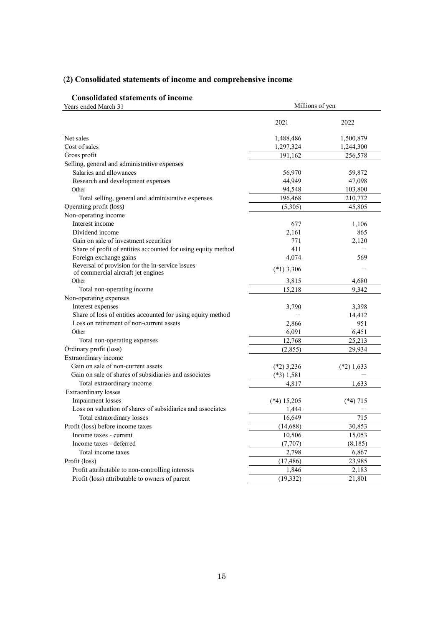# (**2) Consolidated statements of income and comprehensive income**

# **Consolidated statements of income**

| Years ended March 31                                                                  | Millions of yen |              |  |  |
|---------------------------------------------------------------------------------------|-----------------|--------------|--|--|
|                                                                                       | 2021            | 2022         |  |  |
| Net sales                                                                             | 1,488,486       | 1,500,879    |  |  |
| Cost of sales                                                                         | 1,297,324       | 1,244,300    |  |  |
| Gross profit                                                                          | 191,162         | 256,578      |  |  |
| Selling, general and administrative expenses                                          |                 |              |  |  |
| Salaries and allowances                                                               | 56,970          | 59,872       |  |  |
| Research and development expenses                                                     | 44,949          | 47,098       |  |  |
| Other                                                                                 | 94,548          | 103,800      |  |  |
| Total selling, general and administrative expenses                                    | 196,468         | 210,772      |  |  |
| Operating profit (loss)                                                               | (5,305)         | 45,805       |  |  |
| Non-operating income                                                                  |                 |              |  |  |
| Interest income                                                                       | 677             | 1,106        |  |  |
| Dividend income                                                                       | 2,161           | 865          |  |  |
| Gain on sale of investment securities                                                 | 771             | 2,120        |  |  |
| Share of profit of entities accounted for using equity method                         | 411             |              |  |  |
| Foreign exchange gains                                                                | 4,074           | 569          |  |  |
| Reversal of provision for the in-service issues<br>of commercial aircraft jet engines | $(*1)$ 3,306    |              |  |  |
| Other                                                                                 | 3,815           | 4,680        |  |  |
| Total non-operating income                                                            | 15,218          | 9.342        |  |  |
| Non-operating expenses                                                                |                 |              |  |  |
| Interest expenses                                                                     | 3,790           | 3,398        |  |  |
| Share of loss of entities accounted for using equity method                           |                 | 14,412       |  |  |
| Loss on retirement of non-current assets                                              | 2,866           | 951          |  |  |
| Other                                                                                 | 6,091           | 6,451        |  |  |
| Total non-operating expenses                                                          | 12,768          | 25,213       |  |  |
| Ordinary profit (loss)                                                                | (2, 855)        | 29,934       |  |  |
| Extraordinary income                                                                  |                 |              |  |  |
| Gain on sale of non-current assets                                                    | $(*2)$ 3,236    | $(*2)$ 1,633 |  |  |
| Gain on sale of shares of subsidiaries and associates                                 | $(*3)$ 1,581    |              |  |  |
| Total extraordinary income                                                            | 4,817           | 1,633        |  |  |
| <b>Extraordinary losses</b>                                                           |                 |              |  |  |
| <b>Impairment</b> losses                                                              | $(*4)$ 15,205   | $(*4)$ 715   |  |  |
| Loss on valuation of shares of subsidiaries and associates                            | 1,444           |              |  |  |
| Total extraordinary losses                                                            | 16,649          | 715          |  |  |
| Profit (loss) before income taxes                                                     | (14,688)        | 30,853       |  |  |
| Income taxes - current                                                                | 10,506          | 15,053       |  |  |
| Income taxes - deferred                                                               | (7,707)         | (8, 185)     |  |  |
| Total income taxes                                                                    | 2,798           | 6,867        |  |  |
| Profit (loss)                                                                         | (17, 486)       | 23,985       |  |  |
| Profit attributable to non-controlling interests                                      | 1,846           | 2,183        |  |  |
| Profit (loss) attributable to owners of parent                                        | (19, 332)       | 21,801       |  |  |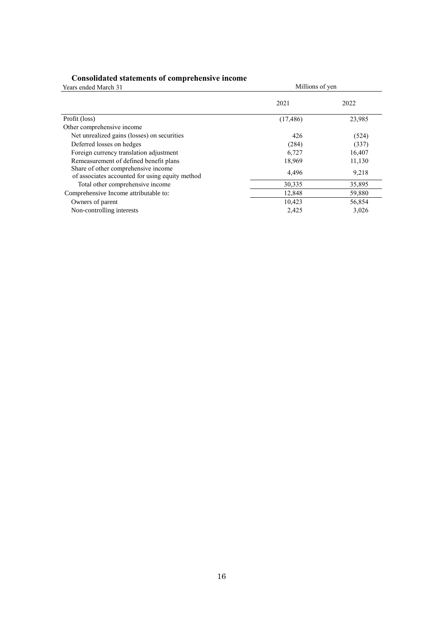### **Consolidated statements of comprehensive income**

| Years ended March 31                                                                   | Millions of yen |        |
|----------------------------------------------------------------------------------------|-----------------|--------|
|                                                                                        | 2021            | 2022   |
| Profit (loss)                                                                          | (17, 486)       | 23,985 |
| Other comprehensive income                                                             |                 |        |
| Net unrealized gains (losses) on securities                                            | 426             | (524)  |
| Deferred losses on hedges                                                              | (284)           | (337)  |
| Foreign currency translation adjustment                                                | 6,727           | 16,407 |
| Remeasurement of defined benefit plans                                                 | 18,969          | 11,130 |
| Share of other comprehensive income<br>of associates accounted for using equity method | 4,496           | 9,218  |
| Total other comprehensive income                                                       | 30,335          | 35,895 |
| Comprehensive Income attributable to:                                                  | 12,848          | 59,880 |
| Owners of parent                                                                       | 10,423          | 56,854 |
| Non-controlling interests                                                              | 2,425           | 3,026  |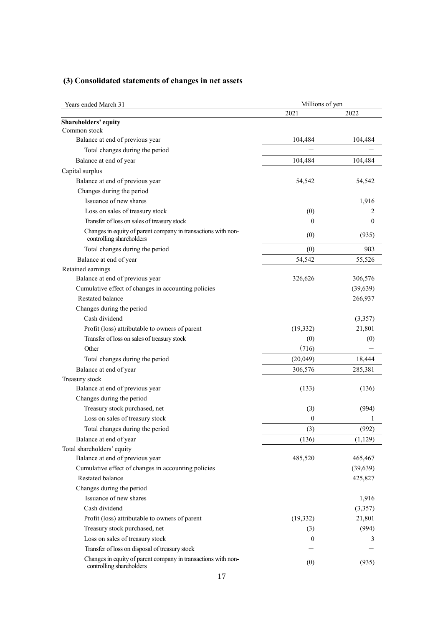# **(3) Consolidated statements of changes in net assets**

| Years ended March 31                                                                      | Millions of yen |           |  |  |
|-------------------------------------------------------------------------------------------|-----------------|-----------|--|--|
|                                                                                           | 2021            | 2022      |  |  |
| Shareholders' equity                                                                      |                 |           |  |  |
| Common stock                                                                              |                 |           |  |  |
| Balance at end of previous year                                                           | 104,484         | 104,484   |  |  |
| Total changes during the period                                                           |                 |           |  |  |
| Balance at end of year                                                                    | 104,484         | 104,484   |  |  |
| Capital surplus                                                                           |                 |           |  |  |
| Balance at end of previous year                                                           | 54,542          | 54,542    |  |  |
| Changes during the period                                                                 |                 |           |  |  |
| Issuance of new shares                                                                    |                 | 1,916     |  |  |
| Loss on sales of treasury stock                                                           | (0)             | 2         |  |  |
| Transfer of loss on sales of treasury stock                                               | $\theta$        | $\theta$  |  |  |
| Changes in equity of parent company in transactions with non-<br>controlling shareholders | (0)             | (935)     |  |  |
| Total changes during the period                                                           | (0)             | 983       |  |  |
| Balance at end of year                                                                    | 54,542          | 55,526    |  |  |
| Retained earnings                                                                         |                 |           |  |  |
| Balance at end of previous year                                                           | 326,626         | 306,576   |  |  |
| Cumulative effect of changes in accounting policies                                       |                 | (39, 639) |  |  |
| Restated balance                                                                          |                 | 266,937   |  |  |
| Changes during the period                                                                 |                 |           |  |  |
| Cash dividend                                                                             |                 | (3,357)   |  |  |
| Profit (loss) attributable to owners of parent                                            | (19, 332)       | 21,801    |  |  |
| Transfer of loss on sales of treasury stock                                               | (0)             | (0)       |  |  |
| Other                                                                                     | (716)           |           |  |  |
| Total changes during the period                                                           | (20,049)        | 18,444    |  |  |
| Balance at end of year                                                                    | 306,576         | 285,381   |  |  |
| Treasury stock                                                                            |                 |           |  |  |
| Balance at end of previous year                                                           | (133)           | (136)     |  |  |
| Changes during the period                                                                 |                 |           |  |  |
| Treasury stock purchased, net                                                             | (3)             | (994)     |  |  |
| Loss on sales of treasury stock                                                           | 0               |           |  |  |
| Total changes during the period                                                           | (3)             | (992)     |  |  |
| Balance at end of year                                                                    | (136)           | (1,129)   |  |  |
| Total shareholders' equity                                                                |                 |           |  |  |
| Balance at end of previous year                                                           | 485,520         | 465,467   |  |  |
| Cumulative effect of changes in accounting policies                                       |                 | (39, 639) |  |  |
| <b>Restated balance</b>                                                                   |                 | 425,827   |  |  |
| Changes during the period                                                                 |                 |           |  |  |
| Issuance of new shares                                                                    |                 | 1,916     |  |  |
| Cash dividend                                                                             |                 | (3,357)   |  |  |
| Profit (loss) attributable to owners of parent                                            | (19, 332)       | 21,801    |  |  |
| Treasury stock purchased, net                                                             | (3)             | (994)     |  |  |
| Loss on sales of treasury stock                                                           | $\overline{0}$  | 3         |  |  |
| Transfer of loss on disposal of treasury stock                                            |                 |           |  |  |
| Changes in equity of parent company in transactions with non-<br>controlling shareholders | (0)             | (935)     |  |  |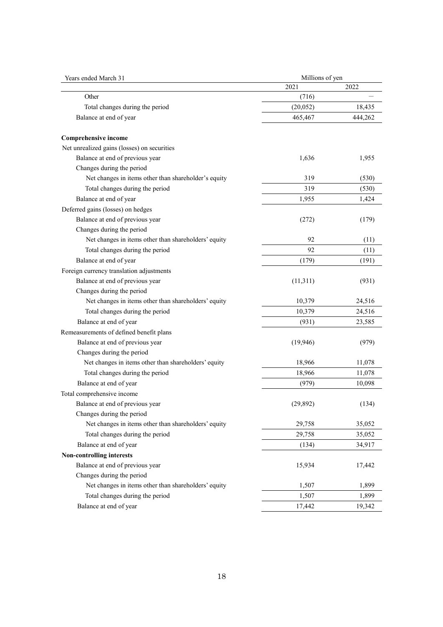| Years ended March 31                                 | Millions of yen |         |  |  |
|------------------------------------------------------|-----------------|---------|--|--|
|                                                      | 2021            | 2022    |  |  |
| Other                                                | (716)           |         |  |  |
| Total changes during the period                      | (20, 052)       | 18,435  |  |  |
| Balance at end of year                               | 465,467         | 444,262 |  |  |
| <b>Comprehensive income</b>                          |                 |         |  |  |
| Net unrealized gains (losses) on securities          |                 |         |  |  |
| Balance at end of previous year                      | 1,636           | 1,955   |  |  |
| Changes during the period                            |                 |         |  |  |
| Net changes in items other than shareholder's equity | 319             | (530)   |  |  |
| Total changes during the period                      | 319             | (530)   |  |  |
| Balance at end of year                               | 1,955           | 1,424   |  |  |
| Deferred gains (losses) on hedges                    |                 |         |  |  |
| Balance at end of previous year                      | (272)           | (179)   |  |  |
| Changes during the period                            |                 |         |  |  |
| Net changes in items other than shareholders' equity | 92              | (11)    |  |  |
| Total changes during the period                      | 92              | (11)    |  |  |
| Balance at end of year                               | (179)           | (191)   |  |  |
| Foreign currency translation adjustments             |                 |         |  |  |
| Balance at end of previous year                      | (11,311)        | (931)   |  |  |
| Changes during the period                            |                 |         |  |  |
| Net changes in items other than shareholders' equity | 10,379          | 24,516  |  |  |
| Total changes during the period                      | 10,379          | 24,516  |  |  |
| Balance at end of year                               | (931)           | 23,585  |  |  |
| Remeasurements of defined benefit plans              |                 |         |  |  |
| Balance at end of previous year                      | (19, 946)       | (979)   |  |  |
| Changes during the period                            |                 |         |  |  |
| Net changes in items other than shareholders' equity | 18,966          | 11,078  |  |  |
| Total changes during the period                      | 18,966          | 11,078  |  |  |
| Balance at end of year                               | (979)           | 10,098  |  |  |
| Total comprehensive income                           |                 |         |  |  |
| Balance at end of previous year                      | (29, 892)       | (134)   |  |  |
| Changes during the period                            |                 |         |  |  |
| Net changes in items other than shareholders' equity | 29,758          | 35,052  |  |  |
| Total changes during the period                      | 29,758          | 35,052  |  |  |
| Balance at end of year                               | (134)           | 34,917  |  |  |
| <b>Non-controlling interests</b>                     |                 |         |  |  |
| Balance at end of previous year                      | 15,934          | 17,442  |  |  |
| Changes during the period                            |                 |         |  |  |
| Net changes in items other than shareholders' equity | 1,507           | 1,899   |  |  |
| Total changes during the period                      | 1,507           | 1,899   |  |  |
| Balance at end of year                               | 17,442          | 19,342  |  |  |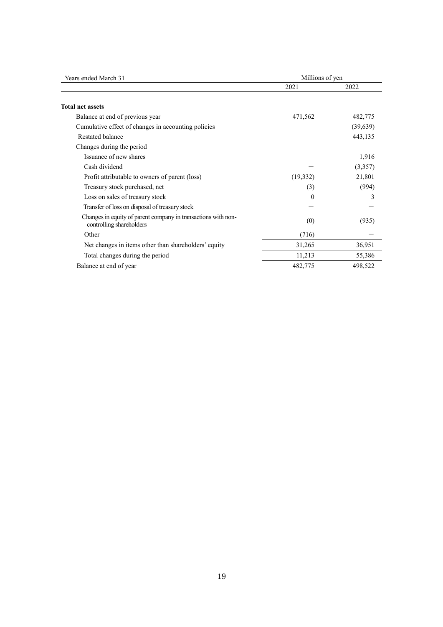| Years ended March 31                                                                      | Millions of yen |          |
|-------------------------------------------------------------------------------------------|-----------------|----------|
|                                                                                           | 2021            | 2022     |
| <b>Total net assets</b>                                                                   |                 |          |
| Balance at end of previous year                                                           | 471,562         | 482,775  |
| Cumulative effect of changes in accounting policies                                       |                 | (39,639) |
| Restated balance                                                                          |                 | 443,135  |
| Changes during the period                                                                 |                 |          |
| Issuance of new shares                                                                    |                 | 1,916    |
| Cash dividend                                                                             |                 | (3,357)  |
| Profit attributable to owners of parent (loss)                                            | (19, 332)       | 21,801   |
| Treasury stock purchased, net                                                             | (3)             | (994)    |
| Loss on sales of treasury stock                                                           | $\Omega$        | 3        |
| Transfer of loss on disposal of treasury stock                                            |                 |          |
| Changes in equity of parent company in transactions with non-<br>controlling shareholders | (0)             | (935)    |
| Other                                                                                     | (716)           |          |
| Net changes in items other than shareholders' equity                                      | 31,265          | 36,951   |
| Total changes during the period                                                           | 11,213          | 55,386   |
| Balance at end of year                                                                    | 482,775         | 498,522  |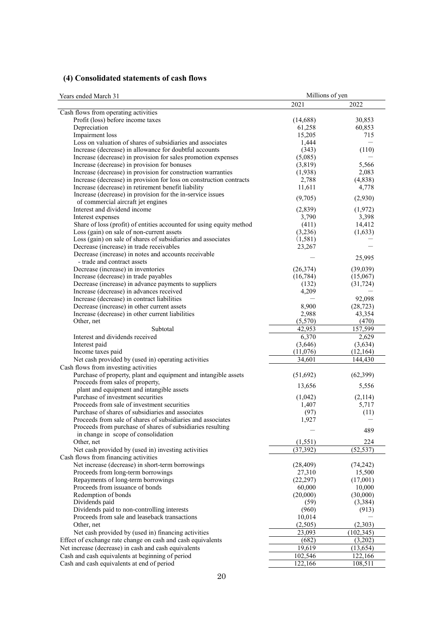# **(4) Consolidated statements of cash flows**

| 2021<br>2022<br>Cash flows from operating activities<br>Profit (loss) before income taxes<br>30,853<br>(14,688)<br>Depreciation<br>61,258<br>60,853<br>Impairment loss<br>15,205<br>715<br>Loss on valuation of shares of subsidiaries and associates<br>1,444<br>Increase (decrease) in allowance for doubtful accounts<br>(343)<br>(110)<br>Increase (decrease) in provision for sales promotion expenses<br>(5,085)<br>5,566<br>Increase (decrease) in provision for bonuses<br>(3,819)<br>Increase (decrease) in provision for construction warranties<br>(1,938)<br>2,083<br>Increase (decrease) in provision for loss on construction contracts<br>(4,838)<br>2,788<br>11,611<br>Increase (decrease) in retirement benefit liability<br>4,778<br>Increase (decrease) in provision for the in-service issues<br>(2,930)<br>(9,705)<br>of commercial aircraft jet engines<br>Interest and dividend income<br>(1,972)<br>(2,839)<br>Interest expenses<br>3,790<br>3,398<br>Share of loss (profit) of entities accounted for using equity method<br>(411)<br>14,412<br>Loss (gain) on sale of non-current assets<br>(3,236)<br>(1,633)<br>Loss (gain) on sale of shares of subsidiaries and associates<br>(1,581)<br>Decrease (increase) in trade receivables<br>23,267<br>Decrease (increase) in notes and accounts receivable<br>25,995<br>- trade and contract assets<br>Decrease (increase) in inventories<br>(26,374)<br>(39,039)<br>Increase (decrease) in trade payables<br>(16, 784)<br>(15,067)<br>Decrease (increase) in advance payments to suppliers<br>(132)<br>(31, 724)<br>Increase (decrease) in advances received<br>4,209<br>Increase (decrease) in contract liabilities<br>92,098<br>8,900<br>Decrease (increase) in other current assets<br>(28, 723)<br>2,988<br>43,354<br>Increase (decrease) in other current liabilities<br>Other, net<br>(5,570)<br>(470)<br>Subtotal<br>42,953<br>157,599<br>Interest and dividends received<br>6,370<br>2,629<br>Interest paid<br>(3,646)<br>(3,634)<br>Income taxes paid<br>(11,076)<br>(12,164)<br>Net cash provided by (used in) operating activities<br>34,601<br>144,430<br>Cash flows from investing activities<br>Purchase of property, plant and equipment and intangible assets<br>(51,692)<br>(62, 399)<br>Proceeds from sales of property,<br>5,556<br>13,656<br>plant and equipment and intangible assets<br>Purchase of investment securities<br>(2,114)<br>(1,042)<br>Proceeds from sale of investment securities<br>5,717<br>1,407<br>Purchase of shares of subsidiaries and associates<br>(97)<br>(11)<br>Proceeds from sale of shares of subsidiaries and associates<br>1,927<br>Proceeds from purchase of shares of subsidiaries resulting<br>489<br>in change in scope of consolidation<br>224<br>(1, 551)<br>Other, net<br>(37, 392)<br>Net cash provided by (used in) investing activities<br>(52, 537)<br>Cash flows from financing activities<br>Net increase (decrease) in short-term borrowings<br>(28, 409)<br>(74, 242)<br>Proceeds from long-term borrowings<br>27,310<br>15,500<br>Repayments of long-term borrowings<br>(22, 297)<br>(17,001)<br>Proceeds from issuance of bonds<br>60,000<br>10,000<br>Redemption of bonds<br>(20,000)<br>(30,000)<br>Dividends paid<br>(59)<br>(3,384)<br>Dividends paid to non-controlling interests<br>(960)<br>(913)<br>Proceeds from sale and leaseback transactions<br>10,014<br>(2,303)<br>(2,505)<br>Other, net<br>Net cash provided by (used in) financing activities<br>23,093<br>(102, 345)<br>Effect of exchange rate change on cash and cash equivalents<br>(682)<br>(3,202)<br>Net increase (decrease) in cash and cash equivalents<br>19,619<br>(13, 654)<br>Cash and cash equivalents at beginning of period<br>102,546<br>122,166 | Years ended March 31                       | Millions of yen |         |  |  |
|--------------------------------------------------------------------------------------------------------------------------------------------------------------------------------------------------------------------------------------------------------------------------------------------------------------------------------------------------------------------------------------------------------------------------------------------------------------------------------------------------------------------------------------------------------------------------------------------------------------------------------------------------------------------------------------------------------------------------------------------------------------------------------------------------------------------------------------------------------------------------------------------------------------------------------------------------------------------------------------------------------------------------------------------------------------------------------------------------------------------------------------------------------------------------------------------------------------------------------------------------------------------------------------------------------------------------------------------------------------------------------------------------------------------------------------------------------------------------------------------------------------------------------------------------------------------------------------------------------------------------------------------------------------------------------------------------------------------------------------------------------------------------------------------------------------------------------------------------------------------------------------------------------------------------------------------------------------------------------------------------------------------------------------------------------------------------------------------------------------------------------------------------------------------------------------------------------------------------------------------------------------------------------------------------------------------------------------------------------------------------------------------------------------------------------------------------------------------------------------------------------------------------------------------------------------------------------------------------------------------------------------------------------------------------------------------------------------------------------------------------------------------------------------------------------------------------------------------------------------------------------------------------------------------------------------------------------------------------------------------------------------------------------------------------------------------------------------------------------------------------------------------------------------------------------------------------------------------------------------------------------------------------------------------------------------------------------------------------------------------------------------------------------------------------------------------------------------------------------------------------------------------------------------------------------------------------------------------------------------------------------------------------------------------------------------------------------------------------------------------------------------------------------|--------------------------------------------|-----------------|---------|--|--|
|                                                                                                                                                                                                                                                                                                                                                                                                                                                                                                                                                                                                                                                                                                                                                                                                                                                                                                                                                                                                                                                                                                                                                                                                                                                                                                                                                                                                                                                                                                                                                                                                                                                                                                                                                                                                                                                                                                                                                                                                                                                                                                                                                                                                                                                                                                                                                                                                                                                                                                                                                                                                                                                                                                                                                                                                                                                                                                                                                                                                                                                                                                                                                                                                                                                                                                                                                                                                                                                                                                                                                                                                                                                                                                                                                                                |                                            |                 |         |  |  |
|                                                                                                                                                                                                                                                                                                                                                                                                                                                                                                                                                                                                                                                                                                                                                                                                                                                                                                                                                                                                                                                                                                                                                                                                                                                                                                                                                                                                                                                                                                                                                                                                                                                                                                                                                                                                                                                                                                                                                                                                                                                                                                                                                                                                                                                                                                                                                                                                                                                                                                                                                                                                                                                                                                                                                                                                                                                                                                                                                                                                                                                                                                                                                                                                                                                                                                                                                                                                                                                                                                                                                                                                                                                                                                                                                                                |                                            |                 |         |  |  |
|                                                                                                                                                                                                                                                                                                                                                                                                                                                                                                                                                                                                                                                                                                                                                                                                                                                                                                                                                                                                                                                                                                                                                                                                                                                                                                                                                                                                                                                                                                                                                                                                                                                                                                                                                                                                                                                                                                                                                                                                                                                                                                                                                                                                                                                                                                                                                                                                                                                                                                                                                                                                                                                                                                                                                                                                                                                                                                                                                                                                                                                                                                                                                                                                                                                                                                                                                                                                                                                                                                                                                                                                                                                                                                                                                                                |                                            |                 |         |  |  |
|                                                                                                                                                                                                                                                                                                                                                                                                                                                                                                                                                                                                                                                                                                                                                                                                                                                                                                                                                                                                                                                                                                                                                                                                                                                                                                                                                                                                                                                                                                                                                                                                                                                                                                                                                                                                                                                                                                                                                                                                                                                                                                                                                                                                                                                                                                                                                                                                                                                                                                                                                                                                                                                                                                                                                                                                                                                                                                                                                                                                                                                                                                                                                                                                                                                                                                                                                                                                                                                                                                                                                                                                                                                                                                                                                                                |                                            |                 |         |  |  |
|                                                                                                                                                                                                                                                                                                                                                                                                                                                                                                                                                                                                                                                                                                                                                                                                                                                                                                                                                                                                                                                                                                                                                                                                                                                                                                                                                                                                                                                                                                                                                                                                                                                                                                                                                                                                                                                                                                                                                                                                                                                                                                                                                                                                                                                                                                                                                                                                                                                                                                                                                                                                                                                                                                                                                                                                                                                                                                                                                                                                                                                                                                                                                                                                                                                                                                                                                                                                                                                                                                                                                                                                                                                                                                                                                                                |                                            |                 |         |  |  |
|                                                                                                                                                                                                                                                                                                                                                                                                                                                                                                                                                                                                                                                                                                                                                                                                                                                                                                                                                                                                                                                                                                                                                                                                                                                                                                                                                                                                                                                                                                                                                                                                                                                                                                                                                                                                                                                                                                                                                                                                                                                                                                                                                                                                                                                                                                                                                                                                                                                                                                                                                                                                                                                                                                                                                                                                                                                                                                                                                                                                                                                                                                                                                                                                                                                                                                                                                                                                                                                                                                                                                                                                                                                                                                                                                                                |                                            |                 |         |  |  |
|                                                                                                                                                                                                                                                                                                                                                                                                                                                                                                                                                                                                                                                                                                                                                                                                                                                                                                                                                                                                                                                                                                                                                                                                                                                                                                                                                                                                                                                                                                                                                                                                                                                                                                                                                                                                                                                                                                                                                                                                                                                                                                                                                                                                                                                                                                                                                                                                                                                                                                                                                                                                                                                                                                                                                                                                                                                                                                                                                                                                                                                                                                                                                                                                                                                                                                                                                                                                                                                                                                                                                                                                                                                                                                                                                                                |                                            |                 |         |  |  |
|                                                                                                                                                                                                                                                                                                                                                                                                                                                                                                                                                                                                                                                                                                                                                                                                                                                                                                                                                                                                                                                                                                                                                                                                                                                                                                                                                                                                                                                                                                                                                                                                                                                                                                                                                                                                                                                                                                                                                                                                                                                                                                                                                                                                                                                                                                                                                                                                                                                                                                                                                                                                                                                                                                                                                                                                                                                                                                                                                                                                                                                                                                                                                                                                                                                                                                                                                                                                                                                                                                                                                                                                                                                                                                                                                                                |                                            |                 |         |  |  |
|                                                                                                                                                                                                                                                                                                                                                                                                                                                                                                                                                                                                                                                                                                                                                                                                                                                                                                                                                                                                                                                                                                                                                                                                                                                                                                                                                                                                                                                                                                                                                                                                                                                                                                                                                                                                                                                                                                                                                                                                                                                                                                                                                                                                                                                                                                                                                                                                                                                                                                                                                                                                                                                                                                                                                                                                                                                                                                                                                                                                                                                                                                                                                                                                                                                                                                                                                                                                                                                                                                                                                                                                                                                                                                                                                                                |                                            |                 |         |  |  |
|                                                                                                                                                                                                                                                                                                                                                                                                                                                                                                                                                                                                                                                                                                                                                                                                                                                                                                                                                                                                                                                                                                                                                                                                                                                                                                                                                                                                                                                                                                                                                                                                                                                                                                                                                                                                                                                                                                                                                                                                                                                                                                                                                                                                                                                                                                                                                                                                                                                                                                                                                                                                                                                                                                                                                                                                                                                                                                                                                                                                                                                                                                                                                                                                                                                                                                                                                                                                                                                                                                                                                                                                                                                                                                                                                                                |                                            |                 |         |  |  |
|                                                                                                                                                                                                                                                                                                                                                                                                                                                                                                                                                                                                                                                                                                                                                                                                                                                                                                                                                                                                                                                                                                                                                                                                                                                                                                                                                                                                                                                                                                                                                                                                                                                                                                                                                                                                                                                                                                                                                                                                                                                                                                                                                                                                                                                                                                                                                                                                                                                                                                                                                                                                                                                                                                                                                                                                                                                                                                                                                                                                                                                                                                                                                                                                                                                                                                                                                                                                                                                                                                                                                                                                                                                                                                                                                                                |                                            |                 |         |  |  |
|                                                                                                                                                                                                                                                                                                                                                                                                                                                                                                                                                                                                                                                                                                                                                                                                                                                                                                                                                                                                                                                                                                                                                                                                                                                                                                                                                                                                                                                                                                                                                                                                                                                                                                                                                                                                                                                                                                                                                                                                                                                                                                                                                                                                                                                                                                                                                                                                                                                                                                                                                                                                                                                                                                                                                                                                                                                                                                                                                                                                                                                                                                                                                                                                                                                                                                                                                                                                                                                                                                                                                                                                                                                                                                                                                                                |                                            |                 |         |  |  |
|                                                                                                                                                                                                                                                                                                                                                                                                                                                                                                                                                                                                                                                                                                                                                                                                                                                                                                                                                                                                                                                                                                                                                                                                                                                                                                                                                                                                                                                                                                                                                                                                                                                                                                                                                                                                                                                                                                                                                                                                                                                                                                                                                                                                                                                                                                                                                                                                                                                                                                                                                                                                                                                                                                                                                                                                                                                                                                                                                                                                                                                                                                                                                                                                                                                                                                                                                                                                                                                                                                                                                                                                                                                                                                                                                                                |                                            |                 |         |  |  |
|                                                                                                                                                                                                                                                                                                                                                                                                                                                                                                                                                                                                                                                                                                                                                                                                                                                                                                                                                                                                                                                                                                                                                                                                                                                                                                                                                                                                                                                                                                                                                                                                                                                                                                                                                                                                                                                                                                                                                                                                                                                                                                                                                                                                                                                                                                                                                                                                                                                                                                                                                                                                                                                                                                                                                                                                                                                                                                                                                                                                                                                                                                                                                                                                                                                                                                                                                                                                                                                                                                                                                                                                                                                                                                                                                                                |                                            |                 |         |  |  |
|                                                                                                                                                                                                                                                                                                                                                                                                                                                                                                                                                                                                                                                                                                                                                                                                                                                                                                                                                                                                                                                                                                                                                                                                                                                                                                                                                                                                                                                                                                                                                                                                                                                                                                                                                                                                                                                                                                                                                                                                                                                                                                                                                                                                                                                                                                                                                                                                                                                                                                                                                                                                                                                                                                                                                                                                                                                                                                                                                                                                                                                                                                                                                                                                                                                                                                                                                                                                                                                                                                                                                                                                                                                                                                                                                                                |                                            |                 |         |  |  |
|                                                                                                                                                                                                                                                                                                                                                                                                                                                                                                                                                                                                                                                                                                                                                                                                                                                                                                                                                                                                                                                                                                                                                                                                                                                                                                                                                                                                                                                                                                                                                                                                                                                                                                                                                                                                                                                                                                                                                                                                                                                                                                                                                                                                                                                                                                                                                                                                                                                                                                                                                                                                                                                                                                                                                                                                                                                                                                                                                                                                                                                                                                                                                                                                                                                                                                                                                                                                                                                                                                                                                                                                                                                                                                                                                                                |                                            |                 |         |  |  |
|                                                                                                                                                                                                                                                                                                                                                                                                                                                                                                                                                                                                                                                                                                                                                                                                                                                                                                                                                                                                                                                                                                                                                                                                                                                                                                                                                                                                                                                                                                                                                                                                                                                                                                                                                                                                                                                                                                                                                                                                                                                                                                                                                                                                                                                                                                                                                                                                                                                                                                                                                                                                                                                                                                                                                                                                                                                                                                                                                                                                                                                                                                                                                                                                                                                                                                                                                                                                                                                                                                                                                                                                                                                                                                                                                                                |                                            |                 |         |  |  |
|                                                                                                                                                                                                                                                                                                                                                                                                                                                                                                                                                                                                                                                                                                                                                                                                                                                                                                                                                                                                                                                                                                                                                                                                                                                                                                                                                                                                                                                                                                                                                                                                                                                                                                                                                                                                                                                                                                                                                                                                                                                                                                                                                                                                                                                                                                                                                                                                                                                                                                                                                                                                                                                                                                                                                                                                                                                                                                                                                                                                                                                                                                                                                                                                                                                                                                                                                                                                                                                                                                                                                                                                                                                                                                                                                                                |                                            |                 |         |  |  |
|                                                                                                                                                                                                                                                                                                                                                                                                                                                                                                                                                                                                                                                                                                                                                                                                                                                                                                                                                                                                                                                                                                                                                                                                                                                                                                                                                                                                                                                                                                                                                                                                                                                                                                                                                                                                                                                                                                                                                                                                                                                                                                                                                                                                                                                                                                                                                                                                                                                                                                                                                                                                                                                                                                                                                                                                                                                                                                                                                                                                                                                                                                                                                                                                                                                                                                                                                                                                                                                                                                                                                                                                                                                                                                                                                                                |                                            |                 |         |  |  |
|                                                                                                                                                                                                                                                                                                                                                                                                                                                                                                                                                                                                                                                                                                                                                                                                                                                                                                                                                                                                                                                                                                                                                                                                                                                                                                                                                                                                                                                                                                                                                                                                                                                                                                                                                                                                                                                                                                                                                                                                                                                                                                                                                                                                                                                                                                                                                                                                                                                                                                                                                                                                                                                                                                                                                                                                                                                                                                                                                                                                                                                                                                                                                                                                                                                                                                                                                                                                                                                                                                                                                                                                                                                                                                                                                                                |                                            |                 |         |  |  |
|                                                                                                                                                                                                                                                                                                                                                                                                                                                                                                                                                                                                                                                                                                                                                                                                                                                                                                                                                                                                                                                                                                                                                                                                                                                                                                                                                                                                                                                                                                                                                                                                                                                                                                                                                                                                                                                                                                                                                                                                                                                                                                                                                                                                                                                                                                                                                                                                                                                                                                                                                                                                                                                                                                                                                                                                                                                                                                                                                                                                                                                                                                                                                                                                                                                                                                                                                                                                                                                                                                                                                                                                                                                                                                                                                                                |                                            |                 |         |  |  |
|                                                                                                                                                                                                                                                                                                                                                                                                                                                                                                                                                                                                                                                                                                                                                                                                                                                                                                                                                                                                                                                                                                                                                                                                                                                                                                                                                                                                                                                                                                                                                                                                                                                                                                                                                                                                                                                                                                                                                                                                                                                                                                                                                                                                                                                                                                                                                                                                                                                                                                                                                                                                                                                                                                                                                                                                                                                                                                                                                                                                                                                                                                                                                                                                                                                                                                                                                                                                                                                                                                                                                                                                                                                                                                                                                                                |                                            |                 |         |  |  |
|                                                                                                                                                                                                                                                                                                                                                                                                                                                                                                                                                                                                                                                                                                                                                                                                                                                                                                                                                                                                                                                                                                                                                                                                                                                                                                                                                                                                                                                                                                                                                                                                                                                                                                                                                                                                                                                                                                                                                                                                                                                                                                                                                                                                                                                                                                                                                                                                                                                                                                                                                                                                                                                                                                                                                                                                                                                                                                                                                                                                                                                                                                                                                                                                                                                                                                                                                                                                                                                                                                                                                                                                                                                                                                                                                                                |                                            |                 |         |  |  |
|                                                                                                                                                                                                                                                                                                                                                                                                                                                                                                                                                                                                                                                                                                                                                                                                                                                                                                                                                                                                                                                                                                                                                                                                                                                                                                                                                                                                                                                                                                                                                                                                                                                                                                                                                                                                                                                                                                                                                                                                                                                                                                                                                                                                                                                                                                                                                                                                                                                                                                                                                                                                                                                                                                                                                                                                                                                                                                                                                                                                                                                                                                                                                                                                                                                                                                                                                                                                                                                                                                                                                                                                                                                                                                                                                                                |                                            |                 |         |  |  |
|                                                                                                                                                                                                                                                                                                                                                                                                                                                                                                                                                                                                                                                                                                                                                                                                                                                                                                                                                                                                                                                                                                                                                                                                                                                                                                                                                                                                                                                                                                                                                                                                                                                                                                                                                                                                                                                                                                                                                                                                                                                                                                                                                                                                                                                                                                                                                                                                                                                                                                                                                                                                                                                                                                                                                                                                                                                                                                                                                                                                                                                                                                                                                                                                                                                                                                                                                                                                                                                                                                                                                                                                                                                                                                                                                                                |                                            |                 |         |  |  |
|                                                                                                                                                                                                                                                                                                                                                                                                                                                                                                                                                                                                                                                                                                                                                                                                                                                                                                                                                                                                                                                                                                                                                                                                                                                                                                                                                                                                                                                                                                                                                                                                                                                                                                                                                                                                                                                                                                                                                                                                                                                                                                                                                                                                                                                                                                                                                                                                                                                                                                                                                                                                                                                                                                                                                                                                                                                                                                                                                                                                                                                                                                                                                                                                                                                                                                                                                                                                                                                                                                                                                                                                                                                                                                                                                                                |                                            |                 |         |  |  |
|                                                                                                                                                                                                                                                                                                                                                                                                                                                                                                                                                                                                                                                                                                                                                                                                                                                                                                                                                                                                                                                                                                                                                                                                                                                                                                                                                                                                                                                                                                                                                                                                                                                                                                                                                                                                                                                                                                                                                                                                                                                                                                                                                                                                                                                                                                                                                                                                                                                                                                                                                                                                                                                                                                                                                                                                                                                                                                                                                                                                                                                                                                                                                                                                                                                                                                                                                                                                                                                                                                                                                                                                                                                                                                                                                                                |                                            |                 |         |  |  |
|                                                                                                                                                                                                                                                                                                                                                                                                                                                                                                                                                                                                                                                                                                                                                                                                                                                                                                                                                                                                                                                                                                                                                                                                                                                                                                                                                                                                                                                                                                                                                                                                                                                                                                                                                                                                                                                                                                                                                                                                                                                                                                                                                                                                                                                                                                                                                                                                                                                                                                                                                                                                                                                                                                                                                                                                                                                                                                                                                                                                                                                                                                                                                                                                                                                                                                                                                                                                                                                                                                                                                                                                                                                                                                                                                                                |                                            |                 |         |  |  |
|                                                                                                                                                                                                                                                                                                                                                                                                                                                                                                                                                                                                                                                                                                                                                                                                                                                                                                                                                                                                                                                                                                                                                                                                                                                                                                                                                                                                                                                                                                                                                                                                                                                                                                                                                                                                                                                                                                                                                                                                                                                                                                                                                                                                                                                                                                                                                                                                                                                                                                                                                                                                                                                                                                                                                                                                                                                                                                                                                                                                                                                                                                                                                                                                                                                                                                                                                                                                                                                                                                                                                                                                                                                                                                                                                                                |                                            |                 |         |  |  |
|                                                                                                                                                                                                                                                                                                                                                                                                                                                                                                                                                                                                                                                                                                                                                                                                                                                                                                                                                                                                                                                                                                                                                                                                                                                                                                                                                                                                                                                                                                                                                                                                                                                                                                                                                                                                                                                                                                                                                                                                                                                                                                                                                                                                                                                                                                                                                                                                                                                                                                                                                                                                                                                                                                                                                                                                                                                                                                                                                                                                                                                                                                                                                                                                                                                                                                                                                                                                                                                                                                                                                                                                                                                                                                                                                                                |                                            |                 |         |  |  |
|                                                                                                                                                                                                                                                                                                                                                                                                                                                                                                                                                                                                                                                                                                                                                                                                                                                                                                                                                                                                                                                                                                                                                                                                                                                                                                                                                                                                                                                                                                                                                                                                                                                                                                                                                                                                                                                                                                                                                                                                                                                                                                                                                                                                                                                                                                                                                                                                                                                                                                                                                                                                                                                                                                                                                                                                                                                                                                                                                                                                                                                                                                                                                                                                                                                                                                                                                                                                                                                                                                                                                                                                                                                                                                                                                                                |                                            |                 |         |  |  |
|                                                                                                                                                                                                                                                                                                                                                                                                                                                                                                                                                                                                                                                                                                                                                                                                                                                                                                                                                                                                                                                                                                                                                                                                                                                                                                                                                                                                                                                                                                                                                                                                                                                                                                                                                                                                                                                                                                                                                                                                                                                                                                                                                                                                                                                                                                                                                                                                                                                                                                                                                                                                                                                                                                                                                                                                                                                                                                                                                                                                                                                                                                                                                                                                                                                                                                                                                                                                                                                                                                                                                                                                                                                                                                                                                                                |                                            |                 |         |  |  |
|                                                                                                                                                                                                                                                                                                                                                                                                                                                                                                                                                                                                                                                                                                                                                                                                                                                                                                                                                                                                                                                                                                                                                                                                                                                                                                                                                                                                                                                                                                                                                                                                                                                                                                                                                                                                                                                                                                                                                                                                                                                                                                                                                                                                                                                                                                                                                                                                                                                                                                                                                                                                                                                                                                                                                                                                                                                                                                                                                                                                                                                                                                                                                                                                                                                                                                                                                                                                                                                                                                                                                                                                                                                                                                                                                                                |                                            |                 |         |  |  |
|                                                                                                                                                                                                                                                                                                                                                                                                                                                                                                                                                                                                                                                                                                                                                                                                                                                                                                                                                                                                                                                                                                                                                                                                                                                                                                                                                                                                                                                                                                                                                                                                                                                                                                                                                                                                                                                                                                                                                                                                                                                                                                                                                                                                                                                                                                                                                                                                                                                                                                                                                                                                                                                                                                                                                                                                                                                                                                                                                                                                                                                                                                                                                                                                                                                                                                                                                                                                                                                                                                                                                                                                                                                                                                                                                                                |                                            |                 |         |  |  |
|                                                                                                                                                                                                                                                                                                                                                                                                                                                                                                                                                                                                                                                                                                                                                                                                                                                                                                                                                                                                                                                                                                                                                                                                                                                                                                                                                                                                                                                                                                                                                                                                                                                                                                                                                                                                                                                                                                                                                                                                                                                                                                                                                                                                                                                                                                                                                                                                                                                                                                                                                                                                                                                                                                                                                                                                                                                                                                                                                                                                                                                                                                                                                                                                                                                                                                                                                                                                                                                                                                                                                                                                                                                                                                                                                                                |                                            |                 |         |  |  |
|                                                                                                                                                                                                                                                                                                                                                                                                                                                                                                                                                                                                                                                                                                                                                                                                                                                                                                                                                                                                                                                                                                                                                                                                                                                                                                                                                                                                                                                                                                                                                                                                                                                                                                                                                                                                                                                                                                                                                                                                                                                                                                                                                                                                                                                                                                                                                                                                                                                                                                                                                                                                                                                                                                                                                                                                                                                                                                                                                                                                                                                                                                                                                                                                                                                                                                                                                                                                                                                                                                                                                                                                                                                                                                                                                                                |                                            |                 |         |  |  |
|                                                                                                                                                                                                                                                                                                                                                                                                                                                                                                                                                                                                                                                                                                                                                                                                                                                                                                                                                                                                                                                                                                                                                                                                                                                                                                                                                                                                                                                                                                                                                                                                                                                                                                                                                                                                                                                                                                                                                                                                                                                                                                                                                                                                                                                                                                                                                                                                                                                                                                                                                                                                                                                                                                                                                                                                                                                                                                                                                                                                                                                                                                                                                                                                                                                                                                                                                                                                                                                                                                                                                                                                                                                                                                                                                                                |                                            |                 |         |  |  |
|                                                                                                                                                                                                                                                                                                                                                                                                                                                                                                                                                                                                                                                                                                                                                                                                                                                                                                                                                                                                                                                                                                                                                                                                                                                                                                                                                                                                                                                                                                                                                                                                                                                                                                                                                                                                                                                                                                                                                                                                                                                                                                                                                                                                                                                                                                                                                                                                                                                                                                                                                                                                                                                                                                                                                                                                                                                                                                                                                                                                                                                                                                                                                                                                                                                                                                                                                                                                                                                                                                                                                                                                                                                                                                                                                                                |                                            |                 |         |  |  |
|                                                                                                                                                                                                                                                                                                                                                                                                                                                                                                                                                                                                                                                                                                                                                                                                                                                                                                                                                                                                                                                                                                                                                                                                                                                                                                                                                                                                                                                                                                                                                                                                                                                                                                                                                                                                                                                                                                                                                                                                                                                                                                                                                                                                                                                                                                                                                                                                                                                                                                                                                                                                                                                                                                                                                                                                                                                                                                                                                                                                                                                                                                                                                                                                                                                                                                                                                                                                                                                                                                                                                                                                                                                                                                                                                                                |                                            |                 |         |  |  |
|                                                                                                                                                                                                                                                                                                                                                                                                                                                                                                                                                                                                                                                                                                                                                                                                                                                                                                                                                                                                                                                                                                                                                                                                                                                                                                                                                                                                                                                                                                                                                                                                                                                                                                                                                                                                                                                                                                                                                                                                                                                                                                                                                                                                                                                                                                                                                                                                                                                                                                                                                                                                                                                                                                                                                                                                                                                                                                                                                                                                                                                                                                                                                                                                                                                                                                                                                                                                                                                                                                                                                                                                                                                                                                                                                                                |                                            |                 |         |  |  |
|                                                                                                                                                                                                                                                                                                                                                                                                                                                                                                                                                                                                                                                                                                                                                                                                                                                                                                                                                                                                                                                                                                                                                                                                                                                                                                                                                                                                                                                                                                                                                                                                                                                                                                                                                                                                                                                                                                                                                                                                                                                                                                                                                                                                                                                                                                                                                                                                                                                                                                                                                                                                                                                                                                                                                                                                                                                                                                                                                                                                                                                                                                                                                                                                                                                                                                                                                                                                                                                                                                                                                                                                                                                                                                                                                                                |                                            |                 |         |  |  |
|                                                                                                                                                                                                                                                                                                                                                                                                                                                                                                                                                                                                                                                                                                                                                                                                                                                                                                                                                                                                                                                                                                                                                                                                                                                                                                                                                                                                                                                                                                                                                                                                                                                                                                                                                                                                                                                                                                                                                                                                                                                                                                                                                                                                                                                                                                                                                                                                                                                                                                                                                                                                                                                                                                                                                                                                                                                                                                                                                                                                                                                                                                                                                                                                                                                                                                                                                                                                                                                                                                                                                                                                                                                                                                                                                                                |                                            |                 |         |  |  |
|                                                                                                                                                                                                                                                                                                                                                                                                                                                                                                                                                                                                                                                                                                                                                                                                                                                                                                                                                                                                                                                                                                                                                                                                                                                                                                                                                                                                                                                                                                                                                                                                                                                                                                                                                                                                                                                                                                                                                                                                                                                                                                                                                                                                                                                                                                                                                                                                                                                                                                                                                                                                                                                                                                                                                                                                                                                                                                                                                                                                                                                                                                                                                                                                                                                                                                                                                                                                                                                                                                                                                                                                                                                                                                                                                                                |                                            |                 |         |  |  |
|                                                                                                                                                                                                                                                                                                                                                                                                                                                                                                                                                                                                                                                                                                                                                                                                                                                                                                                                                                                                                                                                                                                                                                                                                                                                                                                                                                                                                                                                                                                                                                                                                                                                                                                                                                                                                                                                                                                                                                                                                                                                                                                                                                                                                                                                                                                                                                                                                                                                                                                                                                                                                                                                                                                                                                                                                                                                                                                                                                                                                                                                                                                                                                                                                                                                                                                                                                                                                                                                                                                                                                                                                                                                                                                                                                                |                                            |                 |         |  |  |
|                                                                                                                                                                                                                                                                                                                                                                                                                                                                                                                                                                                                                                                                                                                                                                                                                                                                                                                                                                                                                                                                                                                                                                                                                                                                                                                                                                                                                                                                                                                                                                                                                                                                                                                                                                                                                                                                                                                                                                                                                                                                                                                                                                                                                                                                                                                                                                                                                                                                                                                                                                                                                                                                                                                                                                                                                                                                                                                                                                                                                                                                                                                                                                                                                                                                                                                                                                                                                                                                                                                                                                                                                                                                                                                                                                                |                                            |                 |         |  |  |
|                                                                                                                                                                                                                                                                                                                                                                                                                                                                                                                                                                                                                                                                                                                                                                                                                                                                                                                                                                                                                                                                                                                                                                                                                                                                                                                                                                                                                                                                                                                                                                                                                                                                                                                                                                                                                                                                                                                                                                                                                                                                                                                                                                                                                                                                                                                                                                                                                                                                                                                                                                                                                                                                                                                                                                                                                                                                                                                                                                                                                                                                                                                                                                                                                                                                                                                                                                                                                                                                                                                                                                                                                                                                                                                                                                                |                                            |                 |         |  |  |
|                                                                                                                                                                                                                                                                                                                                                                                                                                                                                                                                                                                                                                                                                                                                                                                                                                                                                                                                                                                                                                                                                                                                                                                                                                                                                                                                                                                                                                                                                                                                                                                                                                                                                                                                                                                                                                                                                                                                                                                                                                                                                                                                                                                                                                                                                                                                                                                                                                                                                                                                                                                                                                                                                                                                                                                                                                                                                                                                                                                                                                                                                                                                                                                                                                                                                                                                                                                                                                                                                                                                                                                                                                                                                                                                                                                |                                            |                 |         |  |  |
|                                                                                                                                                                                                                                                                                                                                                                                                                                                                                                                                                                                                                                                                                                                                                                                                                                                                                                                                                                                                                                                                                                                                                                                                                                                                                                                                                                                                                                                                                                                                                                                                                                                                                                                                                                                                                                                                                                                                                                                                                                                                                                                                                                                                                                                                                                                                                                                                                                                                                                                                                                                                                                                                                                                                                                                                                                                                                                                                                                                                                                                                                                                                                                                                                                                                                                                                                                                                                                                                                                                                                                                                                                                                                                                                                                                |                                            |                 |         |  |  |
|                                                                                                                                                                                                                                                                                                                                                                                                                                                                                                                                                                                                                                                                                                                                                                                                                                                                                                                                                                                                                                                                                                                                                                                                                                                                                                                                                                                                                                                                                                                                                                                                                                                                                                                                                                                                                                                                                                                                                                                                                                                                                                                                                                                                                                                                                                                                                                                                                                                                                                                                                                                                                                                                                                                                                                                                                                                                                                                                                                                                                                                                                                                                                                                                                                                                                                                                                                                                                                                                                                                                                                                                                                                                                                                                                                                |                                            |                 |         |  |  |
|                                                                                                                                                                                                                                                                                                                                                                                                                                                                                                                                                                                                                                                                                                                                                                                                                                                                                                                                                                                                                                                                                                                                                                                                                                                                                                                                                                                                                                                                                                                                                                                                                                                                                                                                                                                                                                                                                                                                                                                                                                                                                                                                                                                                                                                                                                                                                                                                                                                                                                                                                                                                                                                                                                                                                                                                                                                                                                                                                                                                                                                                                                                                                                                                                                                                                                                                                                                                                                                                                                                                                                                                                                                                                                                                                                                |                                            |                 |         |  |  |
|                                                                                                                                                                                                                                                                                                                                                                                                                                                                                                                                                                                                                                                                                                                                                                                                                                                                                                                                                                                                                                                                                                                                                                                                                                                                                                                                                                                                                                                                                                                                                                                                                                                                                                                                                                                                                                                                                                                                                                                                                                                                                                                                                                                                                                                                                                                                                                                                                                                                                                                                                                                                                                                                                                                                                                                                                                                                                                                                                                                                                                                                                                                                                                                                                                                                                                                                                                                                                                                                                                                                                                                                                                                                                                                                                                                |                                            |                 |         |  |  |
|                                                                                                                                                                                                                                                                                                                                                                                                                                                                                                                                                                                                                                                                                                                                                                                                                                                                                                                                                                                                                                                                                                                                                                                                                                                                                                                                                                                                                                                                                                                                                                                                                                                                                                                                                                                                                                                                                                                                                                                                                                                                                                                                                                                                                                                                                                                                                                                                                                                                                                                                                                                                                                                                                                                                                                                                                                                                                                                                                                                                                                                                                                                                                                                                                                                                                                                                                                                                                                                                                                                                                                                                                                                                                                                                                                                |                                            |                 |         |  |  |
|                                                                                                                                                                                                                                                                                                                                                                                                                                                                                                                                                                                                                                                                                                                                                                                                                                                                                                                                                                                                                                                                                                                                                                                                                                                                                                                                                                                                                                                                                                                                                                                                                                                                                                                                                                                                                                                                                                                                                                                                                                                                                                                                                                                                                                                                                                                                                                                                                                                                                                                                                                                                                                                                                                                                                                                                                                                                                                                                                                                                                                                                                                                                                                                                                                                                                                                                                                                                                                                                                                                                                                                                                                                                                                                                                                                |                                            |                 |         |  |  |
|                                                                                                                                                                                                                                                                                                                                                                                                                                                                                                                                                                                                                                                                                                                                                                                                                                                                                                                                                                                                                                                                                                                                                                                                                                                                                                                                                                                                                                                                                                                                                                                                                                                                                                                                                                                                                                                                                                                                                                                                                                                                                                                                                                                                                                                                                                                                                                                                                                                                                                                                                                                                                                                                                                                                                                                                                                                                                                                                                                                                                                                                                                                                                                                                                                                                                                                                                                                                                                                                                                                                                                                                                                                                                                                                                                                |                                            |                 |         |  |  |
|                                                                                                                                                                                                                                                                                                                                                                                                                                                                                                                                                                                                                                                                                                                                                                                                                                                                                                                                                                                                                                                                                                                                                                                                                                                                                                                                                                                                                                                                                                                                                                                                                                                                                                                                                                                                                                                                                                                                                                                                                                                                                                                                                                                                                                                                                                                                                                                                                                                                                                                                                                                                                                                                                                                                                                                                                                                                                                                                                                                                                                                                                                                                                                                                                                                                                                                                                                                                                                                                                                                                                                                                                                                                                                                                                                                |                                            |                 |         |  |  |
|                                                                                                                                                                                                                                                                                                                                                                                                                                                                                                                                                                                                                                                                                                                                                                                                                                                                                                                                                                                                                                                                                                                                                                                                                                                                                                                                                                                                                                                                                                                                                                                                                                                                                                                                                                                                                                                                                                                                                                                                                                                                                                                                                                                                                                                                                                                                                                                                                                                                                                                                                                                                                                                                                                                                                                                                                                                                                                                                                                                                                                                                                                                                                                                                                                                                                                                                                                                                                                                                                                                                                                                                                                                                                                                                                                                |                                            |                 |         |  |  |
|                                                                                                                                                                                                                                                                                                                                                                                                                                                                                                                                                                                                                                                                                                                                                                                                                                                                                                                                                                                                                                                                                                                                                                                                                                                                                                                                                                                                                                                                                                                                                                                                                                                                                                                                                                                                                                                                                                                                                                                                                                                                                                                                                                                                                                                                                                                                                                                                                                                                                                                                                                                                                                                                                                                                                                                                                                                                                                                                                                                                                                                                                                                                                                                                                                                                                                                                                                                                                                                                                                                                                                                                                                                                                                                                                                                |                                            |                 |         |  |  |
|                                                                                                                                                                                                                                                                                                                                                                                                                                                                                                                                                                                                                                                                                                                                                                                                                                                                                                                                                                                                                                                                                                                                                                                                                                                                                                                                                                                                                                                                                                                                                                                                                                                                                                                                                                                                                                                                                                                                                                                                                                                                                                                                                                                                                                                                                                                                                                                                                                                                                                                                                                                                                                                                                                                                                                                                                                                                                                                                                                                                                                                                                                                                                                                                                                                                                                                                                                                                                                                                                                                                                                                                                                                                                                                                                                                |                                            |                 |         |  |  |
|                                                                                                                                                                                                                                                                                                                                                                                                                                                                                                                                                                                                                                                                                                                                                                                                                                                                                                                                                                                                                                                                                                                                                                                                                                                                                                                                                                                                                                                                                                                                                                                                                                                                                                                                                                                                                                                                                                                                                                                                                                                                                                                                                                                                                                                                                                                                                                                                                                                                                                                                                                                                                                                                                                                                                                                                                                                                                                                                                                                                                                                                                                                                                                                                                                                                                                                                                                                                                                                                                                                                                                                                                                                                                                                                                                                |                                            |                 |         |  |  |
|                                                                                                                                                                                                                                                                                                                                                                                                                                                                                                                                                                                                                                                                                                                                                                                                                                                                                                                                                                                                                                                                                                                                                                                                                                                                                                                                                                                                                                                                                                                                                                                                                                                                                                                                                                                                                                                                                                                                                                                                                                                                                                                                                                                                                                                                                                                                                                                                                                                                                                                                                                                                                                                                                                                                                                                                                                                                                                                                                                                                                                                                                                                                                                                                                                                                                                                                                                                                                                                                                                                                                                                                                                                                                                                                                                                |                                            |                 |         |  |  |
|                                                                                                                                                                                                                                                                                                                                                                                                                                                                                                                                                                                                                                                                                                                                                                                                                                                                                                                                                                                                                                                                                                                                                                                                                                                                                                                                                                                                                                                                                                                                                                                                                                                                                                                                                                                                                                                                                                                                                                                                                                                                                                                                                                                                                                                                                                                                                                                                                                                                                                                                                                                                                                                                                                                                                                                                                                                                                                                                                                                                                                                                                                                                                                                                                                                                                                                                                                                                                                                                                                                                                                                                                                                                                                                                                                                |                                            |                 |         |  |  |
|                                                                                                                                                                                                                                                                                                                                                                                                                                                                                                                                                                                                                                                                                                                                                                                                                                                                                                                                                                                                                                                                                                                                                                                                                                                                                                                                                                                                                                                                                                                                                                                                                                                                                                                                                                                                                                                                                                                                                                                                                                                                                                                                                                                                                                                                                                                                                                                                                                                                                                                                                                                                                                                                                                                                                                                                                                                                                                                                                                                                                                                                                                                                                                                                                                                                                                                                                                                                                                                                                                                                                                                                                                                                                                                                                                                | Cash and cash equivalents at end of period | 122,166         | 108,511 |  |  |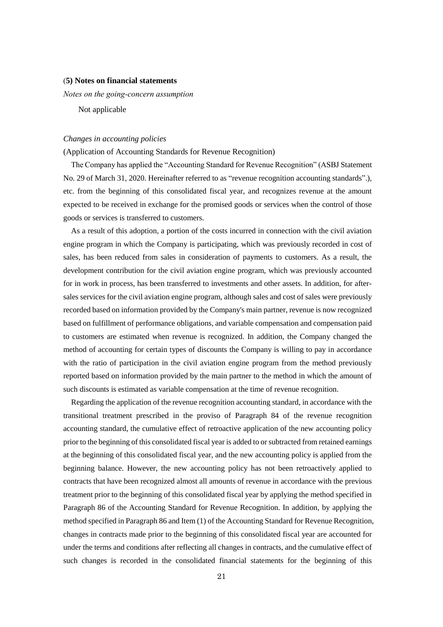### (**5) Notes on financial statements**

*Notes on the going-concern assumption* 

Not applicable

### *Changes in accounting policies*

(Application of Accounting Standards for Revenue Recognition)

The Company has applied the "Accounting Standard for Revenue Recognition" (ASBJ Statement No. 29 of March 31, 2020. Hereinafter referred to as "revenue recognition accounting standards".), etc. from the beginning of this consolidated fiscal year, and recognizes revenue at the amount expected to be received in exchange for the promised goods or services when the control of those goods or services is transferred to customers.

As a result of this adoption, a portion of the costs incurred in connection with the civil aviation engine program in which the Company is participating, which was previously recorded in cost of sales, has been reduced from sales in consideration of payments to customers. As a result, the development contribution for the civil aviation engine program, which was previously accounted for in work in process, has been transferred to investments and other assets. In addition, for aftersales services for the civil aviation engine program, although sales and cost of sales were previously recorded based on information provided by the Company's main partner, revenue is now recognized based on fulfillment of performance obligations, and variable compensation and compensation paid to customers are estimated when revenue is recognized. In addition, the Company changed the method of accounting for certain types of discounts the Company is willing to pay in accordance with the ratio of participation in the civil aviation engine program from the method previously reported based on information provided by the main partner to the method in which the amount of such discounts is estimated as variable compensation at the time of revenue recognition.

Regarding the application of the revenue recognition accounting standard, in accordance with the transitional treatment prescribed in the proviso of Paragraph 84 of the revenue recognition accounting standard, the cumulative effect of retroactive application of the new accounting policy prior to the beginning of this consolidated fiscal year is added to or subtracted from retained earnings at the beginning of this consolidated fiscal year, and the new accounting policy is applied from the beginning balance. However, the new accounting policy has not been retroactively applied to contracts that have been recognized almost all amounts of revenue in accordance with the previous treatment prior to the beginning of this consolidated fiscal year by applying the method specified in Paragraph 86 of the Accounting Standard for Revenue Recognition. In addition, by applying the method specified in Paragraph 86 and Item (1) of the Accounting Standard for Revenue Recognition, changes in contracts made prior to the beginning of this consolidated fiscal year are accounted for under the terms and conditions after reflecting all changes in contracts, and the cumulative effect of such changes is recorded in the consolidated financial statements for the beginning of this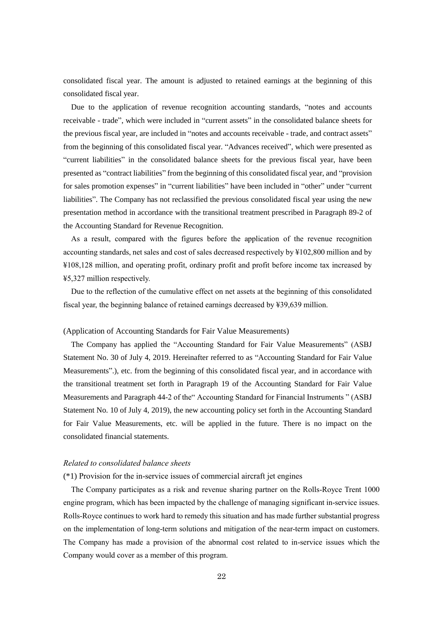consolidated fiscal year. The amount is adjusted to retained earnings at the beginning of this consolidated fiscal year.

Due to the application of revenue recognition accounting standards, "notes and accounts receivable - trade", which were included in "current assets" in the consolidated balance sheets for the previous fiscal year, are included in "notes and accounts receivable - trade, and contract assets" from the beginning of this consolidated fiscal year. "Advances received", which were presented as "current liabilities" in the consolidated balance sheets for the previous fiscal year, have been presented as "contract liabilities" from the beginning of this consolidated fiscal year, and "provision for sales promotion expenses" in "current liabilities" have been included in "other" under "current liabilities". The Company has not reclassified the previous consolidated fiscal year using the new presentation method in accordance with the transitional treatment prescribed in Paragraph 89-2 of the Accounting Standard for Revenue Recognition.

As a result, compared with the figures before the application of the revenue recognition accounting standards, net sales and cost of sales decreased respectively by ¥102,800 million and by ¥108,128 million, and operating profit, ordinary profit and profit before income tax increased by ¥5,327 million respectively.

Due to the reflection of the cumulative effect on net assets at the beginning of this consolidated fiscal year, the beginning balance of retained earnings decreased by ¥39,639 million.

### (Application of Accounting Standards for Fair Value Measurements)

The Company has applied the "Accounting Standard for Fair Value Measurements" (ASBJ Statement No. 30 of July 4, 2019. Hereinafter referred to as "Accounting Standard for Fair Value Measurements".), etc. from the beginning of this consolidated fiscal year, and in accordance with the transitional treatment set forth in Paragraph 19 of the Accounting Standard for Fair Value Measurements and Paragraph 44-2 of the" Accounting Standard for Financial Instruments " (ASBJ Statement No. 10 of July 4, 2019), the new accounting policy set forth in the Accounting Standard for Fair Value Measurements, etc. will be applied in the future. There is no impact on the consolidated financial statements.

### *Related to consolidated balance sheets*

### (\*1) Provision for the in-service issues of commercial aircraft jet engines

The Company participates as a risk and revenue sharing partner on the Rolls-Royce Trent 1000 engine program, which has been impacted by the challenge of managing significant in-service issues. Rolls-Royce continues to work hard to remedy this situation and has made further substantial progress on the implementation of long-term solutions and mitigation of the near-term impact on customers. The Company has made a provision of the abnormal cost related to in-service issues which the Company would cover as a member of this program.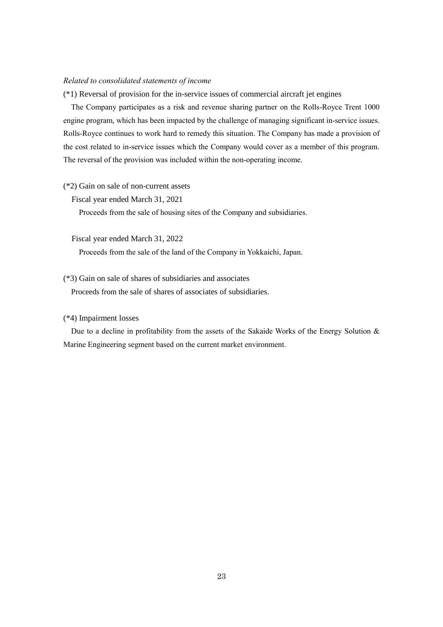### *Related to consolidated statements of income*

(\*1) Reversal of provision for the in-service issues of commercial aircraft jet engines

The Company participates as a risk and revenue sharing partner on the Rolls-Royce Trent 1000 engine program, which has been impacted by the challenge of managing significant in-service issues. Rolls-Royce continues to work hard to remedy this situation. The Company has made a provision of the cost related to in-service issues which the Company would cover as a member of this program. The reversal of the provision was included within the non-operating income.

#### (\*2) Gain on sale of non-current assets

Fiscal year ended March 31, 2021

Proceeds from the sale of housing sites of the Company and subsidiaries.

Fiscal year ended March 31, 2022

Proceeds from the sale of the land of the Company in Yokkaichi, Japan.

# (\*3) Gain on sale of shares of subsidiaries and associates

Proceeds from the sale of shares of associates of subsidiaries.

### (\*4) Impairment losses

Due to a decline in profitability from the assets of the Sakaide Works of the Energy Solution & Marine Engineering segment based on the current market environment.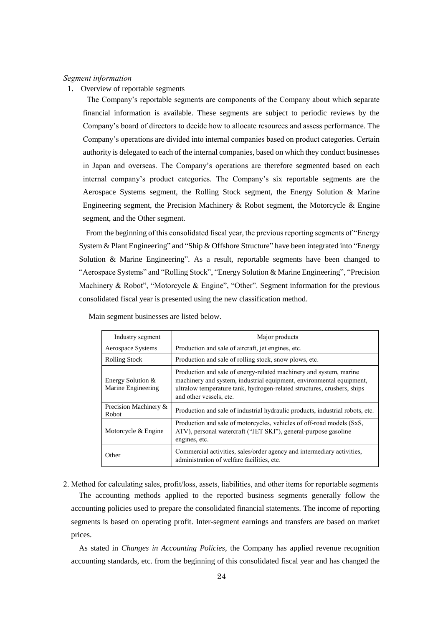### *Segment information*

1. Overview of reportable segments

The Company's reportable segments are components of the Company about which separate financial information is available. These segments are subject to periodic reviews by the Company's board of directors to decide how to allocate resources and assess performance. The Company's operations are divided into internal companies based on product categories. Certain authority is delegated to each of the internal companies, based on which they conduct businesses in Japan and overseas. The Company's operations are therefore segmented based on each internal company's product categories. The Company's six reportable segments are the Aerospace Systems segment, the Rolling Stock segment, the Energy Solution & Marine Engineering segment, the Precision Machinery & Robot segment, the Motorcycle & Engine segment, and the Other segment.

From the beginning of this consolidated fiscal year, the previous reporting segments of "Energy System & Plant Engineering" and "Ship & Offshore Structure" have been integrated into "Energy Solution & Marine Engineering". As a result, reportable segments have been changed to "Aerospace Systems" and "Rolling Stock", "Energy Solution & Marine Engineering", "Precision Machinery & Robot", "Motorcycle & Engine", "Other". Segment information for the previous consolidated fiscal year is presented using the new classification method.

| Industry segment                        | Major products                                                                                                                                                                                                                                   |
|-----------------------------------------|--------------------------------------------------------------------------------------------------------------------------------------------------------------------------------------------------------------------------------------------------|
| Aerospace Systems                       | Production and sale of aircraft, jet engines, etc.                                                                                                                                                                                               |
| <b>Rolling Stock</b>                    | Production and sale of rolling stock, snow plows, etc.                                                                                                                                                                                           |
| Energy Solution &<br>Marine Engineering | Production and sale of energy-related machinery and system, marine<br>machinery and system, industrial equipment, environmental equipment,<br>ultralow temperature tank, hydrogen-related structures, crushers, ships<br>and other vessels, etc. |
| Precision Machinery &<br>Robot          | Production and sale of industrial hydraulic products, industrial robots, etc.                                                                                                                                                                    |
| Motorcycle & Engine                     | Production and sale of motorcycles, vehicles of off-road models (SxS,<br>ATV), personal watercraft ("JET SKI"), general-purpose gasoline<br>engines, etc.                                                                                        |
| Other                                   | Commercial activities, sales/order agency and intermediary activities,<br>administration of welfare facilities, etc.                                                                                                                             |

Main segment businesses are listed below.

2. Method for calculating sales, profit/loss, assets, liabilities, and other items for reportable segments The accounting methods applied to the reported business segments generally follow the accounting policies used to prepare the consolidated financial statements. The income of reporting segments is based on operating profit. Inter-segment earnings and transfers are based on market prices.

As stated in *Changes in Accounting Policies*, the Company has applied revenue recognition accounting standards, etc. from the beginning of this consolidated fiscal year and has changed the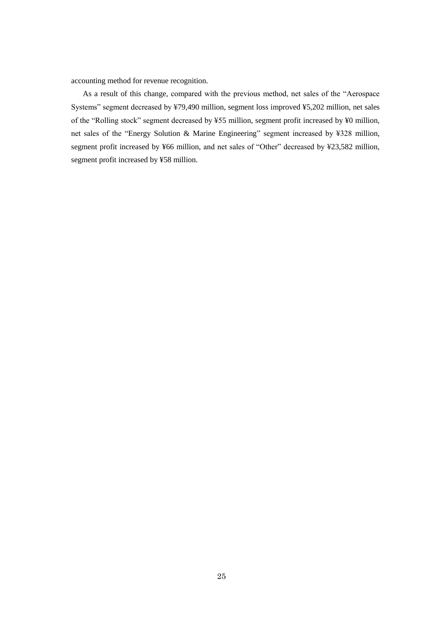accounting method for revenue recognition.

As a result of this change, compared with the previous method, net sales of the "Aerospace Systems" segment decreased by ¥79,490 million, segment loss improved ¥5,202 million, net sales of the "Rolling stock" segment decreased by ¥55 million, segment profit increased by ¥0 million, net sales of the "Energy Solution & Marine Engineering" segment increased by ¥328 million, segment profit increased by ¥66 million, and net sales of "Other" decreased by ¥23,582 million, segment profit increased by ¥58 million.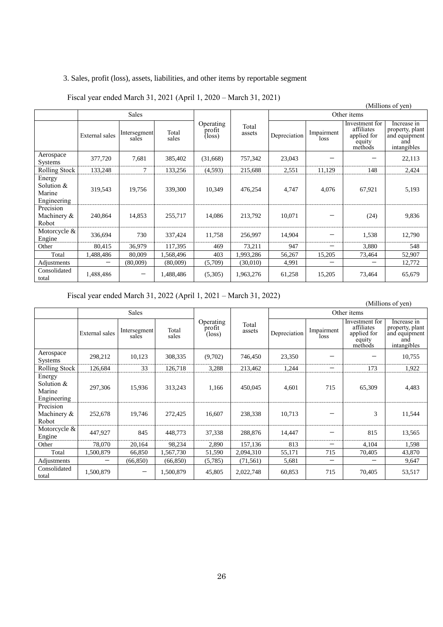# 3. Sales, profit (loss), assets, liabilities, and other items by reportable segment

|                                               | (Millions of yen) |                       |                |                               |                 |              |                    |                                                                  |                                                                       |
|-----------------------------------------------|-------------------|-----------------------|----------------|-------------------------------|-----------------|--------------|--------------------|------------------------------------------------------------------|-----------------------------------------------------------------------|
|                                               | <b>Sales</b>      |                       |                |                               | Other items     |              |                    |                                                                  |                                                                       |
|                                               | External sales    | Intersegment<br>sales | Total<br>sales | Operating<br>profit<br>(loss) | Total<br>assets | Depreciation | Impairment<br>loss | Investment for<br>affiliates<br>applied for<br>equity<br>methods | Increase in<br>property, plant<br>and equipment<br>and<br>intangibles |
| Aerospace<br><b>Systems</b>                   | 377,720           | 7,681                 | 385,402        | (31,668)                      | 757,342         | 23,043       |                    |                                                                  | 22,113                                                                |
| Rolling Stock                                 | 133,248           | 7                     | 133,256        | (4,593)                       | 215,688         | 2,551        | 11,129             | 148                                                              | 2,424                                                                 |
| Energy<br>Solution &<br>Marine<br>Engineering | 319,543           | 19,756                | 339,300        | 10,349                        | 476,254         | 4,747        | 4,076              | 67,921                                                           | 5,193                                                                 |
| Precision<br>Machinery &<br>Robot             | 240,864           | 14,853                | 255,717        | 14,086                        | 213,792         | 10,071       |                    | (24)                                                             | 9,836                                                                 |
| Motorcycle &<br>Engine                        | 336,694           | 730                   | 337,424        | 11,758                        | 256,997         | 14,904       |                    | 1,538                                                            | 12,790                                                                |
| Other                                         | 80,415            | 36,979                | 117,395        | 469                           | 73,211          | 947          |                    | 3,880                                                            | 548                                                                   |
| Total                                         | 1,488,486         | 80,009                | 1,568,496      | 403                           | 1,993,286       | 56,267       | 15,205             | 73,464                                                           | 52,907                                                                |
| Adjustments                                   |                   | (80,009)              | (80,009)       | (5,709)                       | (30,010)        | 4,991        |                    |                                                                  | 12,772                                                                |
| Consolidated<br>total                         | 1,488,486         |                       | 1,488,486      | (5,305)                       | 1,963,276       | 61,258       | 15,205             | 73,464                                                           | 65,679                                                                |

# Fiscal year ended March 31, 2021 (April 1, 2020 – March 31, 2021)

Fiscal year ended March 31, 2022 (April 1, 2021 – March 31, 2022)

|                                                 |                | <b>Sales</b>          |                |                                        |                 | Other items  |                          |                                                                  |                                                                       |
|-------------------------------------------------|----------------|-----------------------|----------------|----------------------------------------|-----------------|--------------|--------------------------|------------------------------------------------------------------|-----------------------------------------------------------------------|
|                                                 | External sales | Intersegment<br>sales | Total<br>sales | Operating<br>profit<br>$(\text{loss})$ | Total<br>assets | Depreciation | Impairment<br>loss       | Investment for<br>affiliates<br>applied for<br>equity<br>methods | Increase in<br>property, plant<br>and equipment<br>and<br>intangibles |
| Aerospace<br><b>Systems</b>                     | 298,212        | 10,123                | 308,335        | (9,702)                                | 746,450         | 23,350       |                          |                                                                  | 10,755                                                                |
| Rolling Stock                                   | 126,684        | 33                    | 126,718        | 3,288                                  | 213,462         | 1,244        | $\overline{\phantom{m}}$ | 173                                                              | 1,922                                                                 |
| Energy<br>Solution $&$<br>Marine<br>Engineering | 297,306        | 15,936                | 313,243        | 1,166                                  | 450,045         | 4,601        | 715                      | 65,309                                                           | 4,483                                                                 |
| Precision<br>Machinery &<br>Robot               | 252,678        | 19,746                | 272,425        | 16,607                                 | 238,338         | 10,713       |                          | 3                                                                | 11,544                                                                |
| Motorcycle &<br>Engine                          | 447,927        | 845                   | 448,773        | 37,338                                 | 288,876         | 14,447       |                          | 815                                                              | 13,565                                                                |
| Other                                           | 78,070         | 20,164                | 98,234         | 2,890                                  | 157,136         | 813          |                          | 4,104                                                            | 1,598                                                                 |
| Total                                           | 1,500,879      | 66,850                | 1,567,730      | 51,590                                 | 2,094,310       | 55,171       | 715                      | 70,405                                                           | 43,870                                                                |
| Adjustments                                     |                | (66, 850)             | (66, 850)      | (5,785)                                | (71, 561)       | 5,681        | $\overline{\phantom{m}}$ |                                                                  | 9,647                                                                 |
| Consolidated<br>total                           | 1,500,879      |                       | 1,500,879      | 45,805                                 | 2,022,748       | 60,853       | 715                      | 70,405                                                           | 53,517                                                                |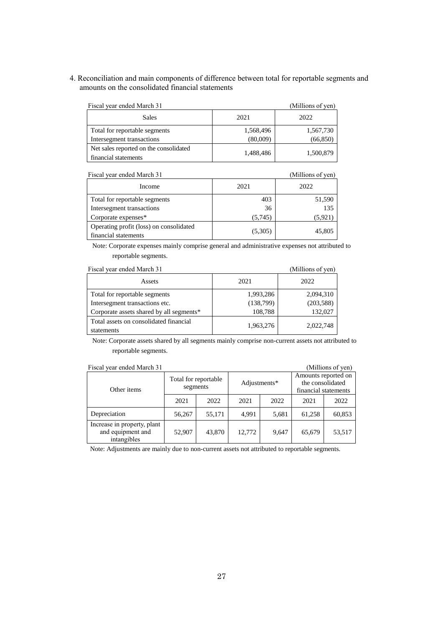4. Reconciliation and main components of difference between total for reportable segments and amounts on the consolidated financial statements

| Fiscal year ended March 31                                     |           | (Millions of yen) |
|----------------------------------------------------------------|-----------|-------------------|
| <b>Sales</b>                                                   | 2021      | 2022              |
| Total for reportable segments                                  | 1,568,496 | 1,567,730         |
| Intersegment transactions                                      | (80,009)  | (66, 850)         |
| Net sales reported on the consolidated<br>financial statements | 1,488,486 | 1,500,879         |

| Fiscal year ended March 31                                      |         | (Millions of yen) |
|-----------------------------------------------------------------|---------|-------------------|
| Income                                                          | 2021    | 2022              |
| Total for reportable segments                                   | 403     | 51,590            |
| Intersegment transactions                                       | 36      | 135               |
| Corporate expenses*                                             | (5,745) | (5,921            |
| Operating profit (loss) on consolidated<br>financial statements | (5,305) | 45,805            |

Note: Corporate expenses mainly comprise general and administrative expenses not attributed to reportable segments.

| Fiscal year ended March 31                           |           | (Millions of yen) |
|------------------------------------------------------|-----------|-------------------|
| Assets                                               | 2021      | 2022              |
| Total for reportable segments                        | 1,993,286 | 2,094,310         |
| Intersegment transactions etc.                       | (138,799) | (203, 588)        |
| Corporate assets shared by all segments*             | 108,788   | 132,027           |
| Total assets on consolidated financial<br>statements | 1,963,276 | 2,022,748         |

Note: Corporate assets shared by all segments mainly comprise non-current assets not attributed to reportable segments.

| Fiscal year ended March 31                                      |                      |          |              |       |                                                                 | (Millions of yen) |
|-----------------------------------------------------------------|----------------------|----------|--------------|-------|-----------------------------------------------------------------|-------------------|
| Other items                                                     | Total for reportable | segments | Adjustments* |       | Amounts reported on<br>the consolidated<br>financial statements |                   |
|                                                                 | 2021                 | 2022     | 2021         | 2022  | 2021                                                            | 2022              |
| Depreciation                                                    | 56,267               | 55,171   | 4.991        | 5,681 | 61,258                                                          | 60,853            |
| Increase in property, plant<br>and equipment and<br>intangibles | 52,907               | 43,870   | 12,772       | 9,647 | 65,679                                                          | 53,517            |

Note: Adjustments are mainly due to non-current assets not attributed to reportable segments.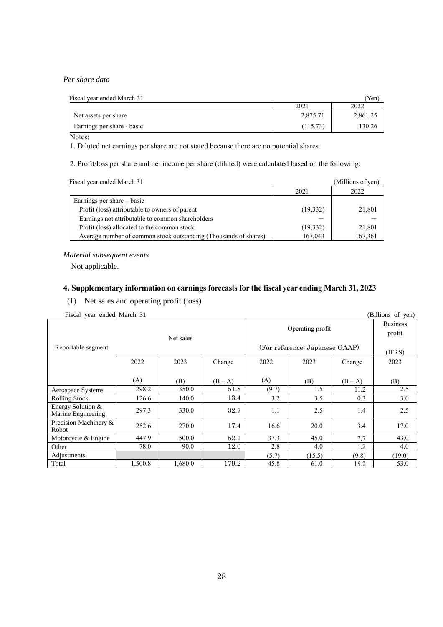# *Per share data*

| Fiscal year ended March 31 |          | Yen      |
|----------------------------|----------|----------|
|                            | 2021     | 2022     |
| Net assets per share       | 2,875.71 | 2.861.25 |
| Earnings per share - basic | (115.73) | 130.26   |
|                            |          |          |

Notes:

1. Diluted net earnings per share are not stated because there are no potential shares.

2. Profit/loss per share and net income per share (diluted) were calculated based on the following:

| Fiscal year ended March 31                                       |          | (Millions of yen) |
|------------------------------------------------------------------|----------|-------------------|
|                                                                  | 2021     | 2022              |
| Earnings per share – basic                                       |          |                   |
| Profit (loss) attributable to owners of parent                   | (19,332) | 21,801            |
| Earnings not attributable to common shareholders                 |          |                   |
| Profit (loss) allocated to the common stock                      | (19,332) | 21,801            |
| Average number of common stock outstanding (Thousands of shares) | 167,043  | 167,361           |

### *Material subsequent events*

Not applicable.

# **4. Supplementary information on earnings forecasts for the fiscal year ending March 31, 2023**

(1) Net sales and operating profit (loss)

| Fiscal year ended March 31 | (Billions of yen) |
|----------------------------|-------------------|
|                            |                   |

|                                         |         | Net sales |         |                                | Operating profit |         | $(\mathbf{v}, \mathbf{v})$<br><b>Business</b><br>profit |
|-----------------------------------------|---------|-----------|---------|--------------------------------|------------------|---------|---------------------------------------------------------|
| Reportable segment                      |         |           |         | (For reference: Japanese GAAP) |                  |         | (IFRS)                                                  |
|                                         | 2022    | 2023      | Change  | 2022                           | 2023             | Change  | 2023                                                    |
|                                         | (A)     | (B)       | $(B-A)$ | (A)                            | (B)              | $(B-A)$ | (B)                                                     |
| Aerospace Systems                       | 298.2   | 350.0     | 51.8    | (9.7)                          | 1.5              | 11.2    | 2.5                                                     |
| <b>Rolling Stock</b>                    | 126.6   | 140.0     | 13.4    | 3.2                            | 3.5              | 0.3     | 3.0                                                     |
| Energy Solution &<br>Marine Engineering | 297.3   | 330.0     | 32.7    | 1.1                            | 2.5              | 1.4     | 2.5                                                     |
| Precision Machinery &<br><b>Robot</b>   | 252.6   | 270.0     | 17.4    | 16.6                           | 20.0             | 3.4     | 17.0                                                    |
| Motorcycle & Engine                     | 447.9   | 500.0     | 52.1    | 37.3                           | 45.0             | 7.7     | 43.0                                                    |
| Other                                   | 78.0    | 90.0      | 12.0    | 2.8                            | 4.0              | 1.2     | 4.0                                                     |
| Adjustments                             |         |           |         | (5.7)                          | (15.5)           | (9.8)   | (19.0)                                                  |
| Total                                   | 1.500.8 | 1.680.0   | 179.2   | 45.8                           | 61.0             | 15.2    | 53.0                                                    |